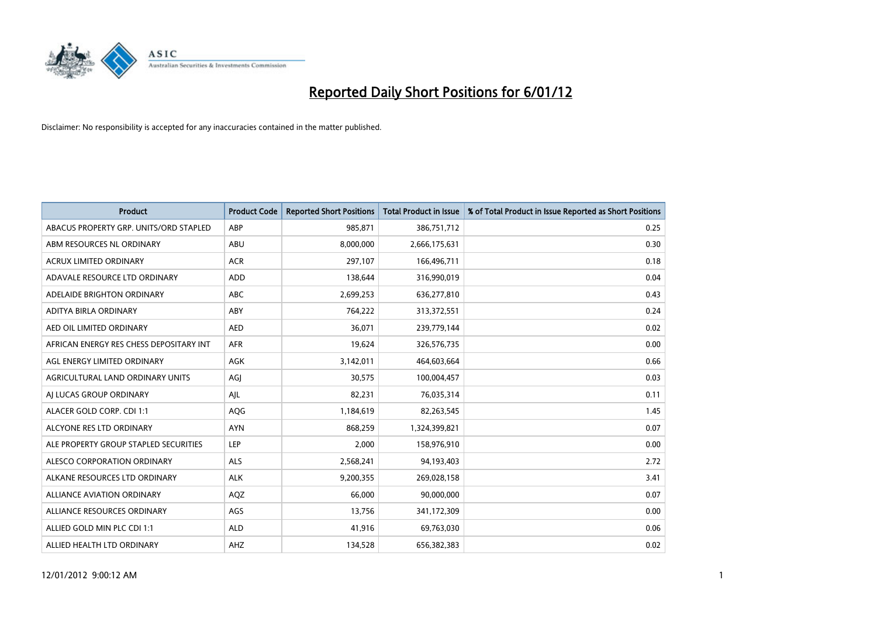

| <b>Product</b>                          | <b>Product Code</b> | <b>Reported Short Positions</b> | <b>Total Product in Issue</b> | % of Total Product in Issue Reported as Short Positions |
|-----------------------------------------|---------------------|---------------------------------|-------------------------------|---------------------------------------------------------|
| ABACUS PROPERTY GRP. UNITS/ORD STAPLED  | ABP                 | 985,871                         | 386,751,712                   | 0.25                                                    |
| ABM RESOURCES NL ORDINARY               | ABU                 | 8,000,000                       | 2,666,175,631                 | 0.30                                                    |
| <b>ACRUX LIMITED ORDINARY</b>           | <b>ACR</b>          | 297,107                         | 166,496,711                   | 0.18                                                    |
| ADAVALE RESOURCE LTD ORDINARY           | <b>ADD</b>          | 138,644                         | 316,990,019                   | 0.04                                                    |
| ADELAIDE BRIGHTON ORDINARY              | <b>ABC</b>          | 2,699,253                       | 636,277,810                   | 0.43                                                    |
| ADITYA BIRLA ORDINARY                   | ABY                 | 764,222                         | 313,372,551                   | 0.24                                                    |
| AED OIL LIMITED ORDINARY                | <b>AED</b>          | 36.071                          | 239,779,144                   | 0.02                                                    |
| AFRICAN ENERGY RES CHESS DEPOSITARY INT | <b>AFR</b>          | 19,624                          | 326,576,735                   | 0.00                                                    |
| AGL ENERGY LIMITED ORDINARY             | AGK                 | 3,142,011                       | 464,603,664                   | 0.66                                                    |
| AGRICULTURAL LAND ORDINARY UNITS        | AGI                 | 30,575                          | 100,004,457                   | 0.03                                                    |
| AJ LUCAS GROUP ORDINARY                 | AJL                 | 82,231                          | 76,035,314                    | 0.11                                                    |
| ALACER GOLD CORP. CDI 1:1               | <b>AQG</b>          | 1,184,619                       | 82,263,545                    | 1.45                                                    |
| ALCYONE RES LTD ORDINARY                | <b>AYN</b>          | 868,259                         | 1,324,399,821                 | 0.07                                                    |
| ALE PROPERTY GROUP STAPLED SECURITIES   | LEP                 | 2,000                           | 158,976,910                   | 0.00                                                    |
| ALESCO CORPORATION ORDINARY             | <b>ALS</b>          | 2,568,241                       | 94,193,403                    | 2.72                                                    |
| ALKANE RESOURCES LTD ORDINARY           | <b>ALK</b>          | 9,200,355                       | 269,028,158                   | 3.41                                                    |
| ALLIANCE AVIATION ORDINARY              | AQZ                 | 66,000                          | 90,000,000                    | 0.07                                                    |
| ALLIANCE RESOURCES ORDINARY             | AGS                 | 13,756                          | 341,172,309                   | 0.00                                                    |
| ALLIED GOLD MIN PLC CDI 1:1             | <b>ALD</b>          | 41,916                          | 69,763,030                    | 0.06                                                    |
| ALLIED HEALTH LTD ORDINARY              | AHZ                 | 134,528                         | 656,382,383                   | 0.02                                                    |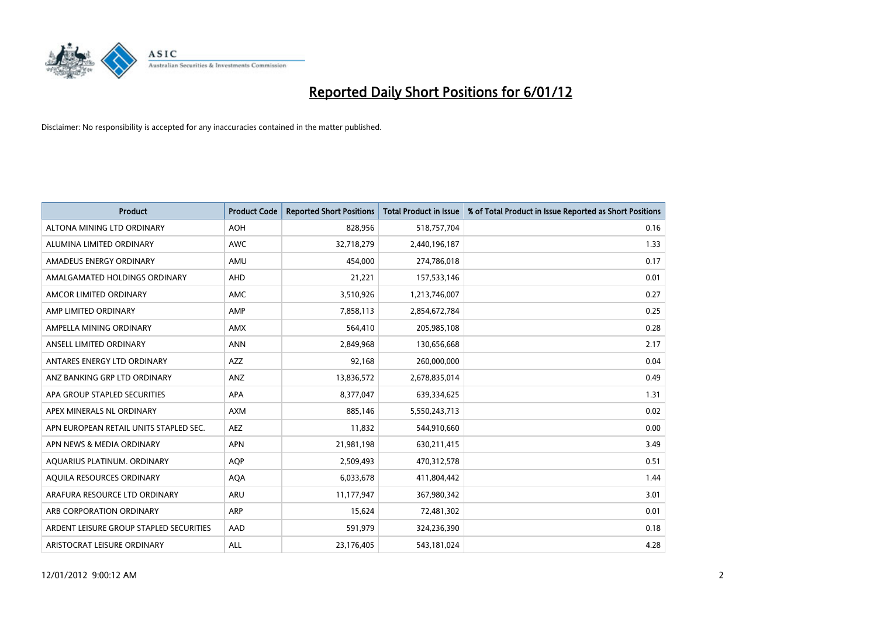

| <b>Product</b>                          | <b>Product Code</b> | <b>Reported Short Positions</b> | <b>Total Product in Issue</b> | % of Total Product in Issue Reported as Short Positions |
|-----------------------------------------|---------------------|---------------------------------|-------------------------------|---------------------------------------------------------|
| ALTONA MINING LTD ORDINARY              | <b>AOH</b>          | 828,956                         | 518,757,704                   | 0.16                                                    |
| ALUMINA LIMITED ORDINARY                | <b>AWC</b>          | 32,718,279                      | 2,440,196,187                 | 1.33                                                    |
| AMADEUS ENERGY ORDINARY                 | AMU                 | 454,000                         | 274,786,018                   | 0.17                                                    |
| AMALGAMATED HOLDINGS ORDINARY           | <b>AHD</b>          | 21,221                          | 157,533,146                   | 0.01                                                    |
| AMCOR LIMITED ORDINARY                  | <b>AMC</b>          | 3,510,926                       | 1,213,746,007                 | 0.27                                                    |
| AMP LIMITED ORDINARY                    | AMP                 | 7,858,113                       | 2,854,672,784                 | 0.25                                                    |
| AMPELLA MINING ORDINARY                 | <b>AMX</b>          | 564,410                         | 205,985,108                   | 0.28                                                    |
| ANSELL LIMITED ORDINARY                 | <b>ANN</b>          | 2,849,968                       | 130,656,668                   | 2.17                                                    |
| ANTARES ENERGY LTD ORDINARY             | AZZ                 | 92,168                          | 260,000,000                   | 0.04                                                    |
| ANZ BANKING GRP LTD ORDINARY            | ANZ                 | 13,836,572                      | 2,678,835,014                 | 0.49                                                    |
| APA GROUP STAPLED SECURITIES            | <b>APA</b>          | 8,377,047                       | 639,334,625                   | 1.31                                                    |
| APEX MINERALS NL ORDINARY               | <b>AXM</b>          | 885,146                         | 5,550,243,713                 | 0.02                                                    |
| APN EUROPEAN RETAIL UNITS STAPLED SEC.  | <b>AEZ</b>          | 11,832                          | 544,910,660                   | 0.00                                                    |
| APN NEWS & MEDIA ORDINARY               | <b>APN</b>          | 21,981,198                      | 630,211,415                   | 3.49                                                    |
| AQUARIUS PLATINUM. ORDINARY             | <b>AOP</b>          | 2,509,493                       | 470,312,578                   | 0.51                                                    |
| AQUILA RESOURCES ORDINARY               | <b>AQA</b>          | 6,033,678                       | 411,804,442                   | 1.44                                                    |
| ARAFURA RESOURCE LTD ORDINARY           | <b>ARU</b>          | 11,177,947                      | 367,980,342                   | 3.01                                                    |
| ARB CORPORATION ORDINARY                | <b>ARP</b>          | 15,624                          | 72,481,302                    | 0.01                                                    |
| ARDENT LEISURE GROUP STAPLED SECURITIES | AAD                 | 591,979                         | 324,236,390                   | 0.18                                                    |
| ARISTOCRAT LEISURE ORDINARY             | <b>ALL</b>          | 23,176,405                      | 543,181,024                   | 4.28                                                    |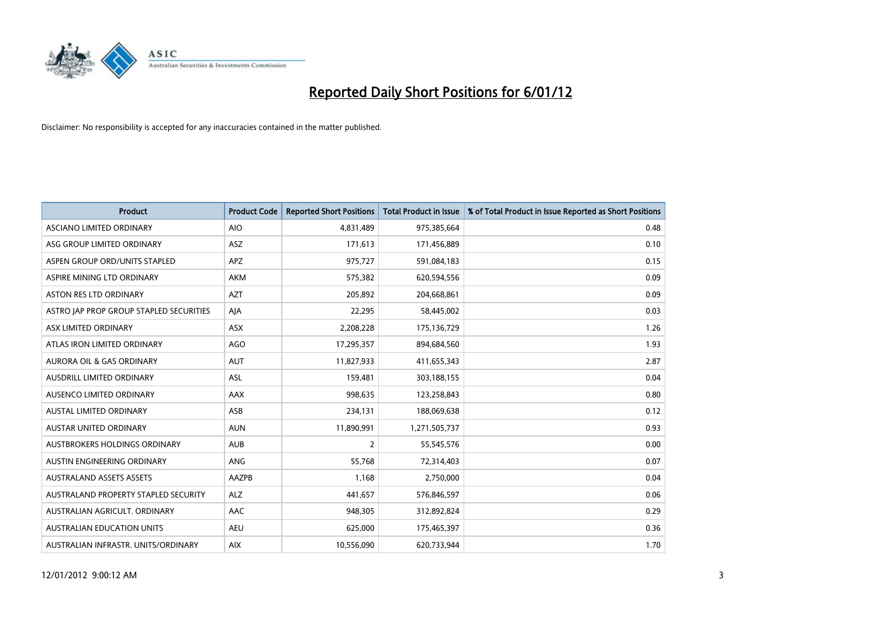

| <b>Product</b>                          | <b>Product Code</b> | <b>Reported Short Positions</b> | <b>Total Product in Issue</b> | % of Total Product in Issue Reported as Short Positions |
|-----------------------------------------|---------------------|---------------------------------|-------------------------------|---------------------------------------------------------|
| ASCIANO LIMITED ORDINARY                | <b>AIO</b>          | 4,831,489                       | 975,385,664                   | 0.48                                                    |
| ASG GROUP LIMITED ORDINARY              | <b>ASZ</b>          | 171,613                         | 171,456,889                   | 0.10                                                    |
| ASPEN GROUP ORD/UNITS STAPLED           | <b>APZ</b>          | 975,727                         | 591,084,183                   | 0.15                                                    |
| ASPIRE MINING LTD ORDINARY              | <b>AKM</b>          | 575,382                         | 620,594,556                   | 0.09                                                    |
| <b>ASTON RES LTD ORDINARY</b>           | <b>AZT</b>          | 205.892                         | 204,668,861                   | 0.09                                                    |
| ASTRO JAP PROP GROUP STAPLED SECURITIES | AJA                 | 22,295                          | 58,445,002                    | 0.03                                                    |
| ASX LIMITED ORDINARY                    | <b>ASX</b>          | 2,208,228                       | 175,136,729                   | 1.26                                                    |
| ATLAS IRON LIMITED ORDINARY             | <b>AGO</b>          | 17,295,357                      | 894,684,560                   | 1.93                                                    |
| <b>AURORA OIL &amp; GAS ORDINARY</b>    | <b>AUT</b>          | 11,827,933                      | 411,655,343                   | 2.87                                                    |
| <b>AUSDRILL LIMITED ORDINARY</b>        | <b>ASL</b>          | 159,481                         | 303,188,155                   | 0.04                                                    |
| AUSENCO LIMITED ORDINARY                | AAX                 | 998,635                         | 123,258,843                   | 0.80                                                    |
| <b>AUSTAL LIMITED ORDINARY</b>          | ASB                 | 234,131                         | 188,069,638                   | 0.12                                                    |
| <b>AUSTAR UNITED ORDINARY</b>           | <b>AUN</b>          | 11,890,991                      | 1,271,505,737                 | 0.93                                                    |
| <b>AUSTBROKERS HOLDINGS ORDINARY</b>    | <b>AUB</b>          | 2                               | 55,545,576                    | 0.00                                                    |
| AUSTIN ENGINEERING ORDINARY             | <b>ANG</b>          | 55,768                          | 72,314,403                    | 0.07                                                    |
| <b>AUSTRALAND ASSETS ASSETS</b>         | <b>AAZPB</b>        | 1.168                           | 2,750,000                     | 0.04                                                    |
| AUSTRALAND PROPERTY STAPLED SECURITY    | <b>ALZ</b>          | 441,657                         | 576,846,597                   | 0.06                                                    |
| AUSTRALIAN AGRICULT. ORDINARY           | AAC                 | 948,305                         | 312,892,824                   | 0.29                                                    |
| <b>AUSTRALIAN EDUCATION UNITS</b>       | <b>AEU</b>          | 625,000                         | 175,465,397                   | 0.36                                                    |
| AUSTRALIAN INFRASTR. UNITS/ORDINARY     | <b>AIX</b>          | 10,556,090                      | 620,733,944                   | 1.70                                                    |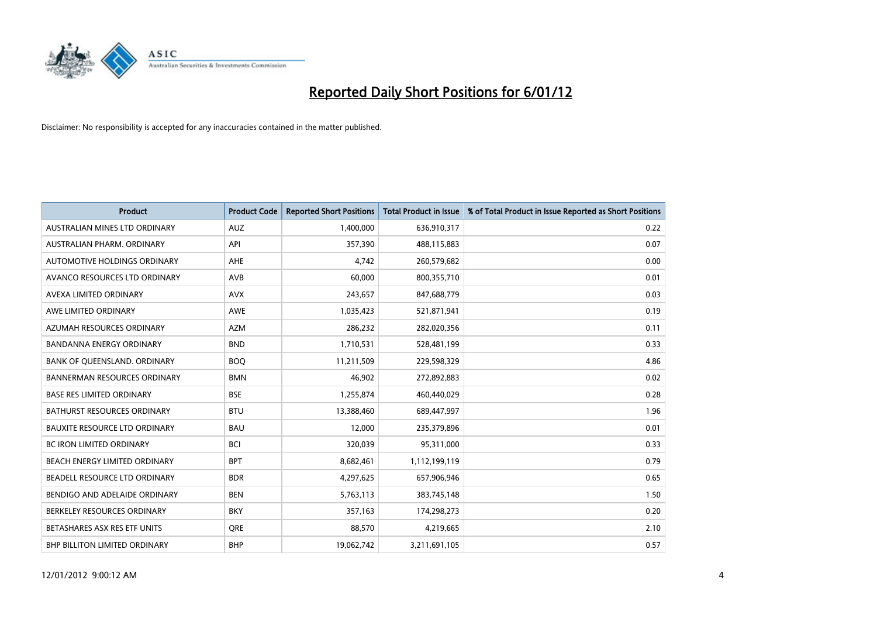

| <b>Product</b>                       | <b>Product Code</b> | <b>Reported Short Positions</b> | <b>Total Product in Issue</b> | % of Total Product in Issue Reported as Short Positions |
|--------------------------------------|---------------------|---------------------------------|-------------------------------|---------------------------------------------------------|
| AUSTRALIAN MINES LTD ORDINARY        | <b>AUZ</b>          | 1,400,000                       | 636,910,317                   | 0.22                                                    |
| AUSTRALIAN PHARM. ORDINARY           | API                 | 357,390                         | 488,115,883                   | 0.07                                                    |
| AUTOMOTIVE HOLDINGS ORDINARY         | <b>AHE</b>          | 4,742                           | 260,579,682                   | 0.00                                                    |
| AVANCO RESOURCES LTD ORDINARY        | AVB                 | 60,000                          | 800,355,710                   | 0.01                                                    |
| AVEXA LIMITED ORDINARY               | <b>AVX</b>          | 243,657                         | 847,688,779                   | 0.03                                                    |
| AWE LIMITED ORDINARY                 | <b>AWE</b>          | 1,035,423                       | 521,871,941                   | 0.19                                                    |
| AZUMAH RESOURCES ORDINARY            | <b>AZM</b>          | 286,232                         | 282,020,356                   | 0.11                                                    |
| <b>BANDANNA ENERGY ORDINARY</b>      | <b>BND</b>          | 1,710,531                       | 528,481,199                   | 0.33                                                    |
| BANK OF QUEENSLAND. ORDINARY         | <b>BOQ</b>          | 11,211,509                      | 229,598,329                   | 4.86                                                    |
| <b>BANNERMAN RESOURCES ORDINARY</b>  | <b>BMN</b>          | 46,902                          | 272,892,883                   | 0.02                                                    |
| <b>BASE RES LIMITED ORDINARY</b>     | <b>BSE</b>          | 1,255,874                       | 460,440,029                   | 0.28                                                    |
| <b>BATHURST RESOURCES ORDINARY</b>   | <b>BTU</b>          | 13,388,460                      | 689,447,997                   | 1.96                                                    |
| <b>BAUXITE RESOURCE LTD ORDINARY</b> | <b>BAU</b>          | 12,000                          | 235,379,896                   | 0.01                                                    |
| <b>BC IRON LIMITED ORDINARY</b>      | <b>BCI</b>          | 320,039                         | 95,311,000                    | 0.33                                                    |
| BEACH ENERGY LIMITED ORDINARY        | <b>BPT</b>          | 8,682,461                       | 1,112,199,119                 | 0.79                                                    |
| BEADELL RESOURCE LTD ORDINARY        | <b>BDR</b>          | 4,297,625                       | 657,906,946                   | 0.65                                                    |
| BENDIGO AND ADELAIDE ORDINARY        | <b>BEN</b>          | 5,763,113                       | 383,745,148                   | 1.50                                                    |
| BERKELEY RESOURCES ORDINARY          | <b>BKY</b>          | 357,163                         | 174,298,273                   | 0.20                                                    |
| BETASHARES ASX RES ETF UNITS         | <b>ORE</b>          | 88,570                          | 4,219,665                     | 2.10                                                    |
| <b>BHP BILLITON LIMITED ORDINARY</b> | <b>BHP</b>          | 19,062,742                      | 3,211,691,105                 | 0.57                                                    |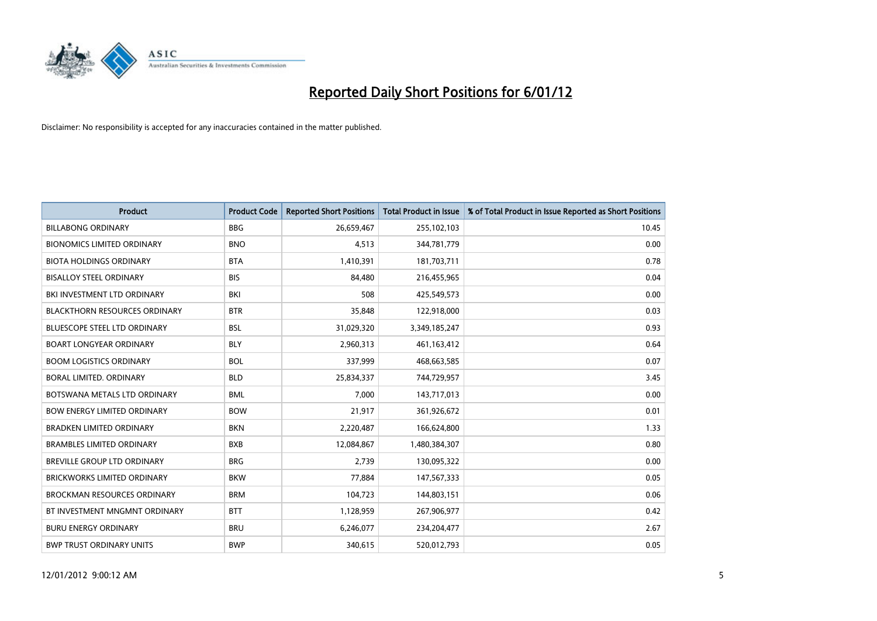

| <b>Product</b>                       | <b>Product Code</b> | <b>Reported Short Positions</b> | <b>Total Product in Issue</b> | % of Total Product in Issue Reported as Short Positions |
|--------------------------------------|---------------------|---------------------------------|-------------------------------|---------------------------------------------------------|
| <b>BILLABONG ORDINARY</b>            | <b>BBG</b>          | 26,659,467                      | 255,102,103                   | 10.45                                                   |
| <b>BIONOMICS LIMITED ORDINARY</b>    | <b>BNO</b>          | 4,513                           | 344,781,779                   | 0.00                                                    |
| <b>BIOTA HOLDINGS ORDINARY</b>       | <b>BTA</b>          | 1,410,391                       | 181,703,711                   | 0.78                                                    |
| <b>BISALLOY STEEL ORDINARY</b>       | <b>BIS</b>          | 84,480                          | 216,455,965                   | 0.04                                                    |
| BKI INVESTMENT LTD ORDINARY          | BKI                 | 508                             | 425,549,573                   | 0.00                                                    |
| <b>BLACKTHORN RESOURCES ORDINARY</b> | <b>BTR</b>          | 35,848                          | 122,918,000                   | 0.03                                                    |
| <b>BLUESCOPE STEEL LTD ORDINARY</b>  | <b>BSL</b>          | 31,029,320                      | 3,349,185,247                 | 0.93                                                    |
| <b>BOART LONGYEAR ORDINARY</b>       | <b>BLY</b>          | 2,960,313                       | 461,163,412                   | 0.64                                                    |
| <b>BOOM LOGISTICS ORDINARY</b>       | <b>BOL</b>          | 337,999                         | 468,663,585                   | 0.07                                                    |
| BORAL LIMITED, ORDINARY              | <b>BLD</b>          | 25,834,337                      | 744,729,957                   | 3.45                                                    |
| BOTSWANA METALS LTD ORDINARY         | <b>BML</b>          | 7,000                           | 143,717,013                   | 0.00                                                    |
| <b>BOW ENERGY LIMITED ORDINARY</b>   | <b>BOW</b>          | 21,917                          | 361,926,672                   | 0.01                                                    |
| <b>BRADKEN LIMITED ORDINARY</b>      | <b>BKN</b>          | 2,220,487                       | 166,624,800                   | 1.33                                                    |
| <b>BRAMBLES LIMITED ORDINARY</b>     | <b>BXB</b>          | 12,084,867                      | 1,480,384,307                 | 0.80                                                    |
| <b>BREVILLE GROUP LTD ORDINARY</b>   | <b>BRG</b>          | 2,739                           | 130,095,322                   | 0.00                                                    |
| BRICKWORKS LIMITED ORDINARY          | <b>BKW</b>          | 77,884                          | 147,567,333                   | 0.05                                                    |
| <b>BROCKMAN RESOURCES ORDINARY</b>   | <b>BRM</b>          | 104,723                         | 144,803,151                   | 0.06                                                    |
| BT INVESTMENT MNGMNT ORDINARY        | <b>BTT</b>          | 1,128,959                       | 267,906,977                   | 0.42                                                    |
| <b>BURU ENERGY ORDINARY</b>          | <b>BRU</b>          | 6,246,077                       | 234,204,477                   | 2.67                                                    |
| <b>BWP TRUST ORDINARY UNITS</b>      | <b>BWP</b>          | 340.615                         | 520,012,793                   | 0.05                                                    |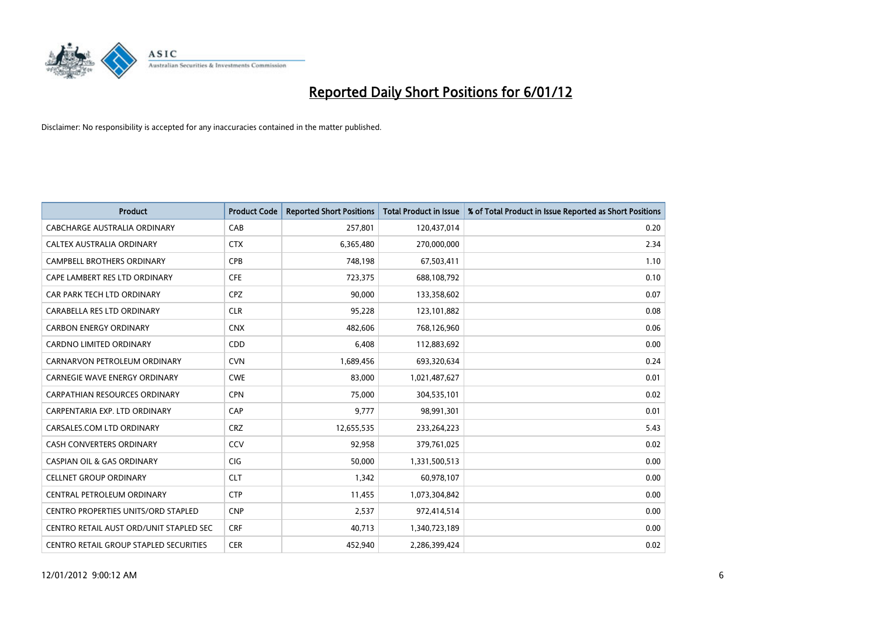

| <b>Product</b>                          | <b>Product Code</b> | <b>Reported Short Positions</b> | <b>Total Product in Issue</b> | % of Total Product in Issue Reported as Short Positions |
|-----------------------------------------|---------------------|---------------------------------|-------------------------------|---------------------------------------------------------|
| CABCHARGE AUSTRALIA ORDINARY            | CAB                 | 257,801                         | 120,437,014                   | 0.20                                                    |
| CALTEX AUSTRALIA ORDINARY               | <b>CTX</b>          | 6,365,480                       | 270,000,000                   | 2.34                                                    |
| <b>CAMPBELL BROTHERS ORDINARY</b>       | <b>CPB</b>          | 748,198                         | 67,503,411                    | 1.10                                                    |
| CAPE LAMBERT RES LTD ORDINARY           | <b>CFE</b>          | 723,375                         | 688,108,792                   | 0.10                                                    |
| CAR PARK TECH LTD ORDINARY              | <b>CPZ</b>          | 90,000                          | 133,358,602                   | 0.07                                                    |
| CARABELLA RES LTD ORDINARY              | <b>CLR</b>          | 95,228                          | 123,101,882                   | 0.08                                                    |
| <b>CARBON ENERGY ORDINARY</b>           | <b>CNX</b>          | 482,606                         | 768,126,960                   | 0.06                                                    |
| CARDNO LIMITED ORDINARY                 | CDD                 | 6,408                           | 112,883,692                   | 0.00                                                    |
| CARNARVON PETROLEUM ORDINARY            | <b>CVN</b>          | 1,689,456                       | 693,320,634                   | 0.24                                                    |
| CARNEGIE WAVE ENERGY ORDINARY           | <b>CWE</b>          | 83,000                          | 1,021,487,627                 | 0.01                                                    |
| CARPATHIAN RESOURCES ORDINARY           | <b>CPN</b>          | 75,000                          | 304,535,101                   | 0.02                                                    |
| CARPENTARIA EXP. LTD ORDINARY           | CAP                 | 9,777                           | 98,991,301                    | 0.01                                                    |
| CARSALES.COM LTD ORDINARY               | <b>CRZ</b>          | 12,655,535                      | 233, 264, 223                 | 5.43                                                    |
| <b>CASH CONVERTERS ORDINARY</b>         | CCV                 | 92,958                          | 379,761,025                   | 0.02                                                    |
| <b>CASPIAN OIL &amp; GAS ORDINARY</b>   | <b>CIG</b>          | 50,000                          | 1,331,500,513                 | 0.00                                                    |
| <b>CELLNET GROUP ORDINARY</b>           | <b>CLT</b>          | 1,342                           | 60,978,107                    | 0.00                                                    |
| CENTRAL PETROLEUM ORDINARY              | <b>CTP</b>          | 11,455                          | 1,073,304,842                 | 0.00                                                    |
| CENTRO PROPERTIES UNITS/ORD STAPLED     | <b>CNP</b>          | 2,537                           | 972,414,514                   | 0.00                                                    |
| CENTRO RETAIL AUST ORD/UNIT STAPLED SEC | <b>CRF</b>          | 40,713                          | 1,340,723,189                 | 0.00                                                    |
| CENTRO RETAIL GROUP STAPLED SECURITIES  | <b>CER</b>          | 452,940                         | 2,286,399,424                 | 0.02                                                    |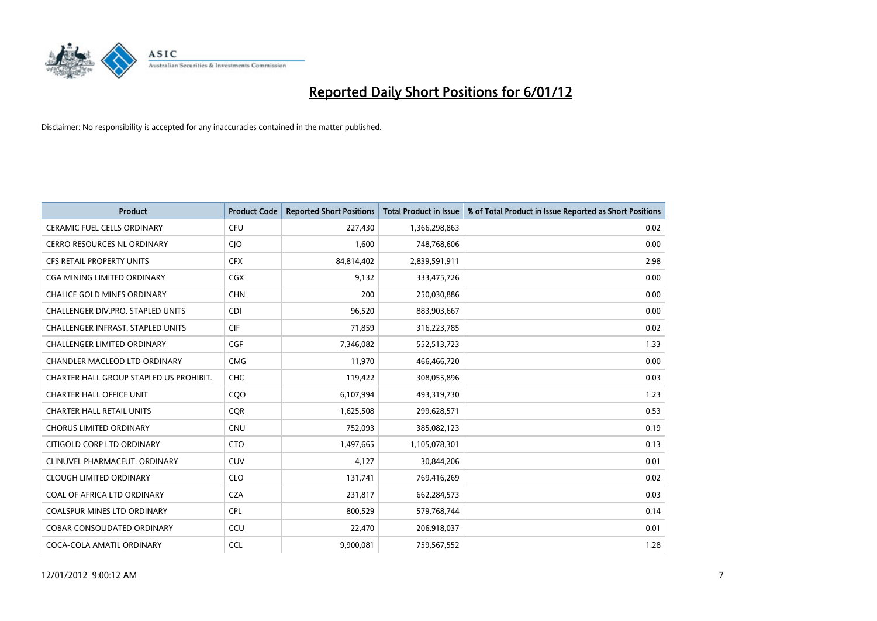

| <b>Product</b>                           | <b>Product Code</b> | <b>Reported Short Positions</b> | <b>Total Product in Issue</b> | % of Total Product in Issue Reported as Short Positions |
|------------------------------------------|---------------------|---------------------------------|-------------------------------|---------------------------------------------------------|
| <b>CERAMIC FUEL CELLS ORDINARY</b>       | <b>CFU</b>          | 227,430                         | 1,366,298,863                 | 0.02                                                    |
| CERRO RESOURCES NL ORDINARY              | <b>CIO</b>          | 1,600                           | 748,768,606                   | 0.00                                                    |
| <b>CFS RETAIL PROPERTY UNITS</b>         | <b>CFX</b>          | 84,814,402                      | 2,839,591,911                 | 2.98                                                    |
| CGA MINING LIMITED ORDINARY              | <b>CGX</b>          | 9,132                           | 333,475,726                   | 0.00                                                    |
| <b>CHALICE GOLD MINES ORDINARY</b>       | <b>CHN</b>          | 200                             | 250,030,886                   | 0.00                                                    |
| <b>CHALLENGER DIV.PRO. STAPLED UNITS</b> | <b>CDI</b>          | 96,520                          | 883,903,667                   | 0.00                                                    |
| <b>CHALLENGER INFRAST, STAPLED UNITS</b> | <b>CIF</b>          | 71,859                          | 316,223,785                   | 0.02                                                    |
| CHALLENGER LIMITED ORDINARY              | <b>CGF</b>          | 7,346,082                       | 552,513,723                   | 1.33                                                    |
| CHANDLER MACLEOD LTD ORDINARY            | <b>CMG</b>          | 11,970                          | 466,466,720                   | 0.00                                                    |
| CHARTER HALL GROUP STAPLED US PROHIBIT.  | <b>CHC</b>          | 119,422                         | 308,055,896                   | 0.03                                                    |
| <b>CHARTER HALL OFFICE UNIT</b>          | CQO                 | 6,107,994                       | 493,319,730                   | 1.23                                                    |
| <b>CHARTER HALL RETAIL UNITS</b>         | <b>COR</b>          | 1,625,508                       | 299,628,571                   | 0.53                                                    |
| <b>CHORUS LIMITED ORDINARY</b>           | <b>CNU</b>          | 752,093                         | 385,082,123                   | 0.19                                                    |
| CITIGOLD CORP LTD ORDINARY               | <b>CTO</b>          | 1,497,665                       | 1,105,078,301                 | 0.13                                                    |
| CLINUVEL PHARMACEUT, ORDINARY            | CUV                 | 4,127                           | 30,844,206                    | 0.01                                                    |
| <b>CLOUGH LIMITED ORDINARY</b>           | <b>CLO</b>          | 131,741                         | 769,416,269                   | 0.02                                                    |
| COAL OF AFRICA LTD ORDINARY              | <b>CZA</b>          | 231,817                         | 662,284,573                   | 0.03                                                    |
| COALSPUR MINES LTD ORDINARY              | <b>CPL</b>          | 800,529                         | 579,768,744                   | 0.14                                                    |
| <b>COBAR CONSOLIDATED ORDINARY</b>       | CCU                 | 22,470                          | 206,918,037                   | 0.01                                                    |
| COCA-COLA AMATIL ORDINARY                | <b>CCL</b>          | 9,900,081                       | 759,567,552                   | 1.28                                                    |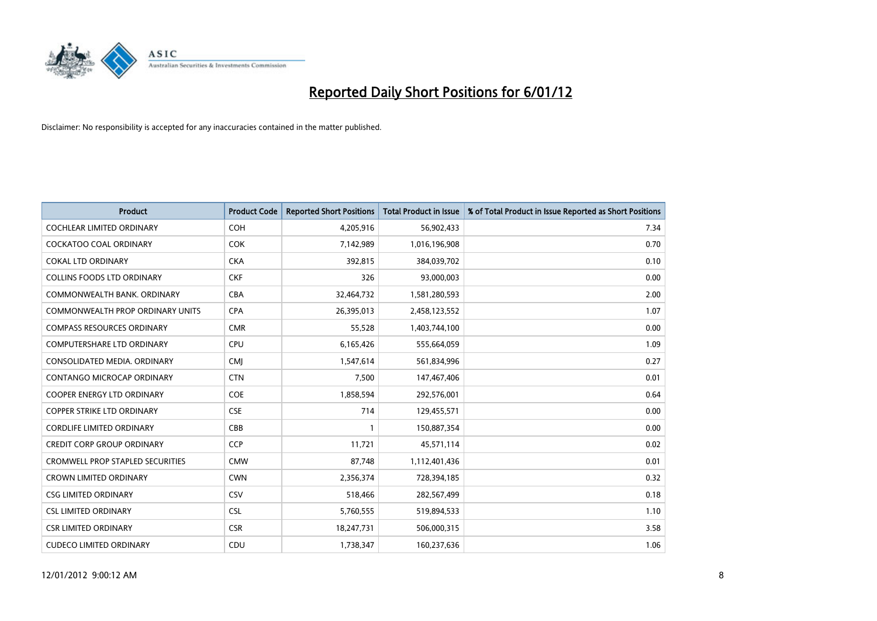

| <b>Product</b>                          | <b>Product Code</b> | <b>Reported Short Positions</b> | <b>Total Product in Issue</b> | % of Total Product in Issue Reported as Short Positions |
|-----------------------------------------|---------------------|---------------------------------|-------------------------------|---------------------------------------------------------|
| <b>COCHLEAR LIMITED ORDINARY</b>        | <b>COH</b>          | 4,205,916                       | 56,902,433                    | 7.34                                                    |
| COCKATOO COAL ORDINARY                  | <b>COK</b>          | 7,142,989                       | 1,016,196,908                 | 0.70                                                    |
| <b>COKAL LTD ORDINARY</b>               | <b>CKA</b>          | 392,815                         | 384,039,702                   | 0.10                                                    |
| COLLINS FOODS LTD ORDINARY              | <b>CKF</b>          | 326                             | 93,000,003                    | 0.00                                                    |
| COMMONWEALTH BANK, ORDINARY             | <b>CBA</b>          | 32,464,732                      | 1,581,280,593                 | 2.00                                                    |
| <b>COMMONWEALTH PROP ORDINARY UNITS</b> | <b>CPA</b>          | 26,395,013                      | 2,458,123,552                 | 1.07                                                    |
| <b>COMPASS RESOURCES ORDINARY</b>       | <b>CMR</b>          | 55,528                          | 1,403,744,100                 | 0.00                                                    |
| COMPUTERSHARE LTD ORDINARY              | CPU                 | 6,165,426                       | 555,664,059                   | 1.09                                                    |
| CONSOLIDATED MEDIA. ORDINARY            | <b>CMI</b>          | 1,547,614                       | 561,834,996                   | 0.27                                                    |
| CONTANGO MICROCAP ORDINARY              | <b>CTN</b>          | 7,500                           | 147,467,406                   | 0.01                                                    |
| <b>COOPER ENERGY LTD ORDINARY</b>       | <b>COE</b>          | 1,858,594                       | 292,576,001                   | 0.64                                                    |
| <b>COPPER STRIKE LTD ORDINARY</b>       | <b>CSE</b>          | 714                             | 129,455,571                   | 0.00                                                    |
| <b>CORDLIFE LIMITED ORDINARY</b>        | CBB                 |                                 | 150,887,354                   | 0.00                                                    |
| <b>CREDIT CORP GROUP ORDINARY</b>       | <b>CCP</b>          | 11,721                          | 45,571,114                    | 0.02                                                    |
| <b>CROMWELL PROP STAPLED SECURITIES</b> | <b>CMW</b>          | 87,748                          | 1,112,401,436                 | 0.01                                                    |
| <b>CROWN LIMITED ORDINARY</b>           | <b>CWN</b>          | 2,356,374                       | 728,394,185                   | 0.32                                                    |
| <b>CSG LIMITED ORDINARY</b>             | CSV                 | 518,466                         | 282,567,499                   | 0.18                                                    |
| <b>CSL LIMITED ORDINARY</b>             | <b>CSL</b>          | 5,760,555                       | 519,894,533                   | 1.10                                                    |
| <b>CSR LIMITED ORDINARY</b>             | <b>CSR</b>          | 18,247,731                      | 506,000,315                   | 3.58                                                    |
| <b>CUDECO LIMITED ORDINARY</b>          | CDU                 | 1,738,347                       | 160,237,636                   | 1.06                                                    |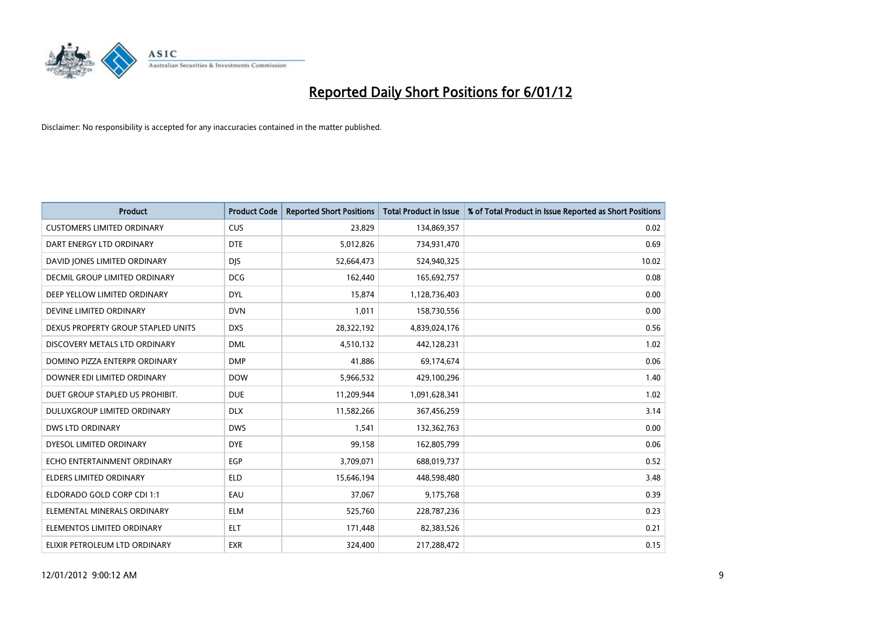

| <b>Product</b>                     | <b>Product Code</b> | <b>Reported Short Positions</b> | <b>Total Product in Issue</b> | % of Total Product in Issue Reported as Short Positions |
|------------------------------------|---------------------|---------------------------------|-------------------------------|---------------------------------------------------------|
| <b>CUSTOMERS LIMITED ORDINARY</b>  | <b>CUS</b>          | 23,829                          | 134,869,357                   | 0.02                                                    |
| DART ENERGY LTD ORDINARY           | <b>DTE</b>          | 5,012,826                       | 734,931,470                   | 0.69                                                    |
| DAVID JONES LIMITED ORDINARY       | <b>DIS</b>          | 52,664,473                      | 524,940,325                   | 10.02                                                   |
| DECMIL GROUP LIMITED ORDINARY      | <b>DCG</b>          | 162,440                         | 165,692,757                   | 0.08                                                    |
| DEEP YELLOW LIMITED ORDINARY       | <b>DYL</b>          | 15,874                          | 1,128,736,403                 | 0.00                                                    |
| DEVINE LIMITED ORDINARY            | <b>DVN</b>          | 1,011                           | 158,730,556                   | 0.00                                                    |
| DEXUS PROPERTY GROUP STAPLED UNITS | <b>DXS</b>          | 28,322,192                      | 4,839,024,176                 | 0.56                                                    |
| DISCOVERY METALS LTD ORDINARY      | <b>DML</b>          | 4,510,132                       | 442,128,231                   | 1.02                                                    |
| DOMINO PIZZA ENTERPR ORDINARY      | <b>DMP</b>          | 41,886                          | 69,174,674                    | 0.06                                                    |
| DOWNER EDI LIMITED ORDINARY        | <b>DOW</b>          | 5,966,532                       | 429,100,296                   | 1.40                                                    |
| DUET GROUP STAPLED US PROHIBIT.    | <b>DUE</b>          | 11,209,944                      | 1,091,628,341                 | 1.02                                                    |
| <b>DULUXGROUP LIMITED ORDINARY</b> | <b>DLX</b>          | 11,582,266                      | 367,456,259                   | 3.14                                                    |
| <b>DWS LTD ORDINARY</b>            | <b>DWS</b>          | 1,541                           | 132,362,763                   | 0.00                                                    |
| DYESOL LIMITED ORDINARY            | <b>DYE</b>          | 99,158                          | 162,805,799                   | 0.06                                                    |
| ECHO ENTERTAINMENT ORDINARY        | EGP                 | 3,709,071                       | 688,019,737                   | 0.52                                                    |
| ELDERS LIMITED ORDINARY            | <b>ELD</b>          | 15,646,194                      | 448,598,480                   | 3.48                                                    |
| ELDORADO GOLD CORP CDI 1:1         | EAU                 | 37,067                          | 9,175,768                     | 0.39                                                    |
| ELEMENTAL MINERALS ORDINARY        | <b>ELM</b>          | 525,760                         | 228,787,236                   | 0.23                                                    |
| ELEMENTOS LIMITED ORDINARY         | <b>ELT</b>          | 171,448                         | 82,383,526                    | 0.21                                                    |
| ELIXIR PETROLEUM LTD ORDINARY      | <b>EXR</b>          | 324,400                         | 217,288,472                   | 0.15                                                    |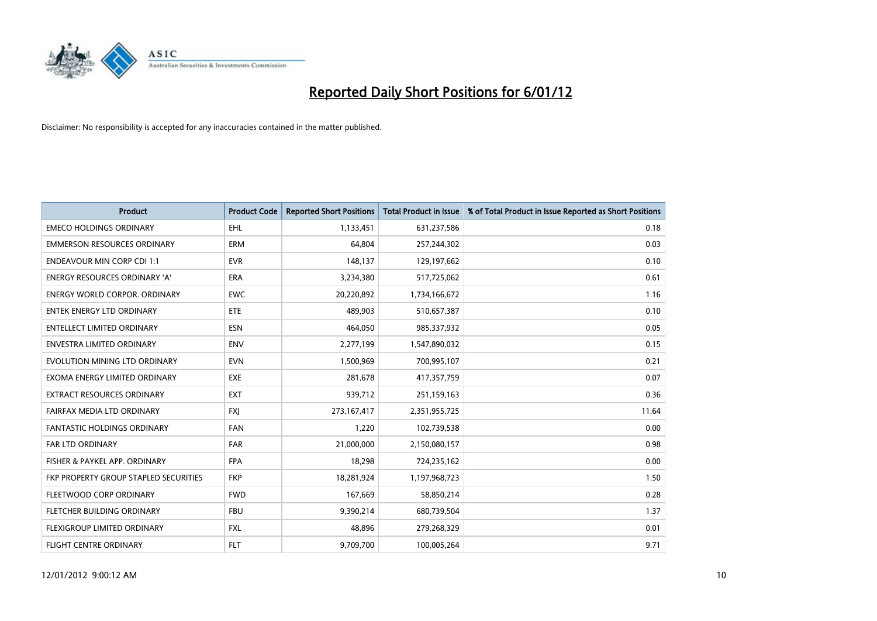

| <b>Product</b>                        | <b>Product Code</b> | <b>Reported Short Positions</b> | <b>Total Product in Issue</b> | % of Total Product in Issue Reported as Short Positions |
|---------------------------------------|---------------------|---------------------------------|-------------------------------|---------------------------------------------------------|
| <b>EMECO HOLDINGS ORDINARY</b>        | <b>EHL</b>          | 1,133,451                       | 631,237,586                   | 0.18                                                    |
| <b>EMMERSON RESOURCES ORDINARY</b>    | ERM                 | 64,804                          | 257,244,302                   | 0.03                                                    |
| <b>ENDEAVOUR MIN CORP CDI 1:1</b>     | <b>EVR</b>          | 148,137                         | 129,197,662                   | 0.10                                                    |
| <b>ENERGY RESOURCES ORDINARY 'A'</b>  | ERA                 | 3,234,380                       | 517,725,062                   | 0.61                                                    |
| <b>ENERGY WORLD CORPOR, ORDINARY</b>  | <b>EWC</b>          | 20,220,892                      | 1,734,166,672                 | 1.16                                                    |
| <b>ENTEK ENERGY LTD ORDINARY</b>      | <b>ETE</b>          | 489,903                         | 510,657,387                   | 0.10                                                    |
| <b>ENTELLECT LIMITED ORDINARY</b>     | <b>ESN</b>          | 464,050                         | 985,337,932                   | 0.05                                                    |
| ENVESTRA LIMITED ORDINARY             | <b>ENV</b>          | 2,277,199                       | 1,547,890,032                 | 0.15                                                    |
| EVOLUTION MINING LTD ORDINARY         | <b>EVN</b>          | 1,500,969                       | 700,995,107                   | 0.21                                                    |
| EXOMA ENERGY LIMITED ORDINARY         | <b>EXE</b>          | 281,678                         | 417,357,759                   | 0.07                                                    |
| EXTRACT RESOURCES ORDINARY            | <b>EXT</b>          | 939,712                         | 251,159,163                   | 0.36                                                    |
| FAIRFAX MEDIA LTD ORDINARY            | <b>FXI</b>          | 273,167,417                     | 2,351,955,725                 | 11.64                                                   |
| <b>FANTASTIC HOLDINGS ORDINARY</b>    | <b>FAN</b>          | 1,220                           | 102,739,538                   | 0.00                                                    |
| <b>FAR LTD ORDINARY</b>               | <b>FAR</b>          | 21,000,000                      | 2,150,080,157                 | 0.98                                                    |
| FISHER & PAYKEL APP. ORDINARY         | <b>FPA</b>          | 18,298                          | 724,235,162                   | 0.00                                                    |
| FKP PROPERTY GROUP STAPLED SECURITIES | <b>FKP</b>          | 18,281,924                      | 1,197,968,723                 | 1.50                                                    |
| FLEETWOOD CORP ORDINARY               | <b>FWD</b>          | 167,669                         | 58,850,214                    | 0.28                                                    |
| FLETCHER BUILDING ORDINARY            | <b>FBU</b>          | 9,390,214                       | 680,739,504                   | 1.37                                                    |
| <b>FLEXIGROUP LIMITED ORDINARY</b>    | <b>FXL</b>          | 48,896                          | 279,268,329                   | 0.01                                                    |
| <b>FLIGHT CENTRE ORDINARY</b>         | <b>FLT</b>          | 9,709,700                       | 100,005,264                   | 9.71                                                    |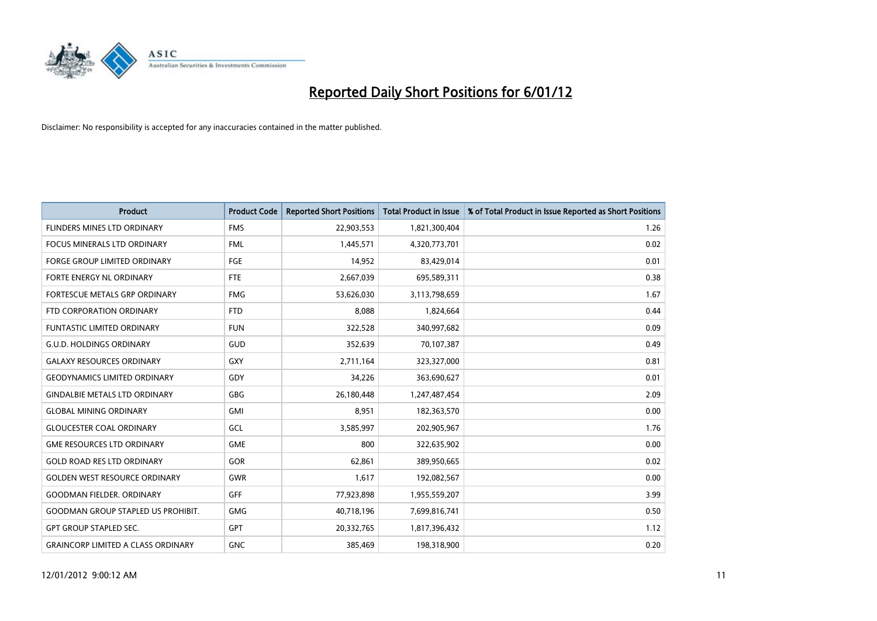

| <b>Product</b>                            | <b>Product Code</b> | <b>Reported Short Positions</b> | <b>Total Product in Issue</b> | % of Total Product in Issue Reported as Short Positions |
|-------------------------------------------|---------------------|---------------------------------|-------------------------------|---------------------------------------------------------|
| FLINDERS MINES LTD ORDINARY               | <b>FMS</b>          | 22,903,553                      | 1,821,300,404                 | 1.26                                                    |
| FOCUS MINERALS LTD ORDINARY               | <b>FML</b>          | 1,445,571                       | 4,320,773,701                 | 0.02                                                    |
| <b>FORGE GROUP LIMITED ORDINARY</b>       | FGE                 | 14,952                          | 83,429,014                    | 0.01                                                    |
| FORTE ENERGY NL ORDINARY                  | FTE                 | 2,667,039                       | 695,589,311                   | 0.38                                                    |
| <b>FORTESCUE METALS GRP ORDINARY</b>      | <b>FMG</b>          | 53,626,030                      | 3,113,798,659                 | 1.67                                                    |
| FTD CORPORATION ORDINARY                  | <b>FTD</b>          | 8,088                           | 1,824,664                     | 0.44                                                    |
| FUNTASTIC LIMITED ORDINARY                | <b>FUN</b>          | 322,528                         | 340,997,682                   | 0.09                                                    |
| <b>G.U.D. HOLDINGS ORDINARY</b>           | GUD                 | 352,639                         | 70,107,387                    | 0.49                                                    |
| <b>GALAXY RESOURCES ORDINARY</b>          | <b>GXY</b>          | 2,711,164                       | 323,327,000                   | 0.81                                                    |
| <b>GEODYNAMICS LIMITED ORDINARY</b>       | GDY                 | 34,226                          | 363,690,627                   | 0.01                                                    |
| <b>GINDALBIE METALS LTD ORDINARY</b>      | <b>GBG</b>          | 26,180,448                      | 1,247,487,454                 | 2.09                                                    |
| <b>GLOBAL MINING ORDINARY</b>             | <b>GMI</b>          | 8,951                           | 182,363,570                   | 0.00                                                    |
| <b>GLOUCESTER COAL ORDINARY</b>           | GCL                 | 3,585,997                       | 202,905,967                   | 1.76                                                    |
| <b>GME RESOURCES LTD ORDINARY</b>         | <b>GME</b>          | 800                             | 322,635,902                   | 0.00                                                    |
| <b>GOLD ROAD RES LTD ORDINARY</b>         | GOR                 | 62,861                          | 389,950,665                   | 0.02                                                    |
| <b>GOLDEN WEST RESOURCE ORDINARY</b>      | <b>GWR</b>          | 1,617                           | 192,082,567                   | 0.00                                                    |
| <b>GOODMAN FIELDER, ORDINARY</b>          | <b>GFF</b>          | 77,923,898                      | 1,955,559,207                 | 3.99                                                    |
| <b>GOODMAN GROUP STAPLED US PROHIBIT.</b> | <b>GMG</b>          | 40,718,196                      | 7,699,816,741                 | 0.50                                                    |
| <b>GPT GROUP STAPLED SEC.</b>             | GPT                 | 20,332,765                      | 1,817,396,432                 | 1.12                                                    |
| <b>GRAINCORP LIMITED A CLASS ORDINARY</b> | <b>GNC</b>          | 385.469                         | 198,318,900                   | 0.20                                                    |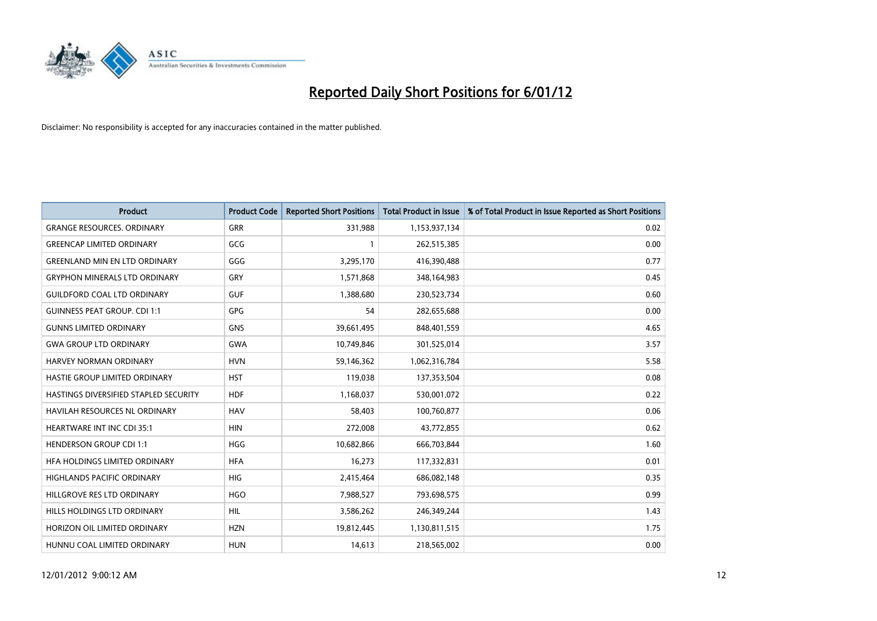

| <b>Product</b>                               | <b>Product Code</b> | <b>Reported Short Positions</b> | <b>Total Product in Issue</b> | % of Total Product in Issue Reported as Short Positions |
|----------------------------------------------|---------------------|---------------------------------|-------------------------------|---------------------------------------------------------|
| <b>GRANGE RESOURCES, ORDINARY</b>            | <b>GRR</b>          | 331,988                         | 1,153,937,134                 | 0.02                                                    |
| <b>GREENCAP LIMITED ORDINARY</b>             | GCG                 |                                 | 262,515,385                   | 0.00                                                    |
| <b>GREENLAND MIN EN LTD ORDINARY</b>         | GGG                 | 3,295,170                       | 416,390,488                   | 0.77                                                    |
| <b>GRYPHON MINERALS LTD ORDINARY</b>         | GRY                 | 1,571,868                       | 348,164,983                   | 0.45                                                    |
| <b>GUILDFORD COAL LTD ORDINARY</b>           | <b>GUF</b>          | 1,388,680                       | 230,523,734                   | 0.60                                                    |
| <b>GUINNESS PEAT GROUP. CDI 1:1</b>          | <b>GPG</b>          | 54                              | 282,655,688                   | 0.00                                                    |
| <b>GUNNS LIMITED ORDINARY</b>                | <b>GNS</b>          | 39,661,495                      | 848,401,559                   | 4.65                                                    |
| <b>GWA GROUP LTD ORDINARY</b>                | <b>GWA</b>          | 10,749,846                      | 301,525,014                   | 3.57                                                    |
| HARVEY NORMAN ORDINARY                       | <b>HVN</b>          | 59,146,362                      | 1,062,316,784                 | 5.58                                                    |
| HASTIE GROUP LIMITED ORDINARY                | <b>HST</b>          | 119,038                         | 137,353,504                   | 0.08                                                    |
| <b>HASTINGS DIVERSIFIED STAPLED SECURITY</b> | <b>HDF</b>          | 1,168,037                       | 530,001,072                   | 0.22                                                    |
| HAVILAH RESOURCES NL ORDINARY                | <b>HAV</b>          | 58,403                          | 100,760,877                   | 0.06                                                    |
| <b>HEARTWARE INT INC CDI 35:1</b>            | <b>HIN</b>          | 272,008                         | 43,772,855                    | 0.62                                                    |
| <b>HENDERSON GROUP CDI 1:1</b>               | <b>HGG</b>          | 10,682,866                      | 666,703,844                   | 1.60                                                    |
| HFA HOLDINGS LIMITED ORDINARY                | <b>HFA</b>          | 16,273                          | 117,332,831                   | 0.01                                                    |
| HIGHLANDS PACIFIC ORDINARY                   | <b>HIG</b>          | 2,415,464                       | 686,082,148                   | 0.35                                                    |
| HILLGROVE RES LTD ORDINARY                   | <b>HGO</b>          | 7,988,527                       | 793,698,575                   | 0.99                                                    |
| HILLS HOLDINGS LTD ORDINARY                  | HIL.                | 3,586,262                       | 246,349,244                   | 1.43                                                    |
| HORIZON OIL LIMITED ORDINARY                 | <b>HZN</b>          | 19,812,445                      | 1,130,811,515                 | 1.75                                                    |
| HUNNU COAL LIMITED ORDINARY                  | <b>HUN</b>          | 14,613                          | 218,565,002                   | 0.00                                                    |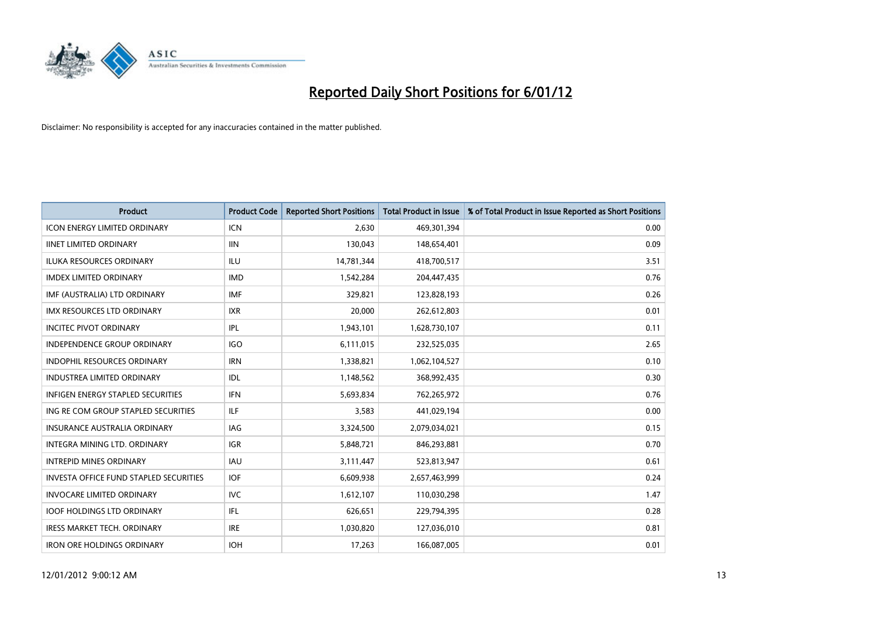

| <b>Product</b>                                | <b>Product Code</b> | <b>Reported Short Positions</b> | <b>Total Product in Issue</b> | % of Total Product in Issue Reported as Short Positions |
|-----------------------------------------------|---------------------|---------------------------------|-------------------------------|---------------------------------------------------------|
| <b>ICON ENERGY LIMITED ORDINARY</b>           | <b>ICN</b>          | 2,630                           | 469,301,394                   | 0.00                                                    |
| <b>IINET LIMITED ORDINARY</b>                 | <b>IIN</b>          | 130,043                         | 148,654,401                   | 0.09                                                    |
| <b>ILUKA RESOURCES ORDINARY</b>               | ILU                 | 14,781,344                      | 418,700,517                   | 3.51                                                    |
| <b>IMDEX LIMITED ORDINARY</b>                 | <b>IMD</b>          | 1,542,284                       | 204,447,435                   | 0.76                                                    |
| IMF (AUSTRALIA) LTD ORDINARY                  | <b>IMF</b>          | 329.821                         | 123,828,193                   | 0.26                                                    |
| <b>IMX RESOURCES LTD ORDINARY</b>             | <b>IXR</b>          | 20,000                          | 262,612,803                   | 0.01                                                    |
| <b>INCITEC PIVOT ORDINARY</b>                 | IPL                 | 1,943,101                       | 1,628,730,107                 | 0.11                                                    |
| <b>INDEPENDENCE GROUP ORDINARY</b>            | <b>IGO</b>          | 6,111,015                       | 232,525,035                   | 2.65                                                    |
| INDOPHIL RESOURCES ORDINARY                   | <b>IRN</b>          | 1,338,821                       | 1,062,104,527                 | 0.10                                                    |
| <b>INDUSTREA LIMITED ORDINARY</b>             | IDL                 | 1,148,562                       | 368,992,435                   | 0.30                                                    |
| <b>INFIGEN ENERGY STAPLED SECURITIES</b>      | <b>IFN</b>          | 5,693,834                       | 762,265,972                   | 0.76                                                    |
| ING RE COM GROUP STAPLED SECURITIES           | ILF.                | 3,583                           | 441,029,194                   | 0.00                                                    |
| <b>INSURANCE AUSTRALIA ORDINARY</b>           | IAG                 | 3,324,500                       | 2,079,034,021                 | 0.15                                                    |
| <b>INTEGRA MINING LTD, ORDINARY</b>           | <b>IGR</b>          | 5,848,721                       | 846,293,881                   | 0.70                                                    |
| <b>INTREPID MINES ORDINARY</b>                | <b>IAU</b>          | 3,111,447                       | 523,813,947                   | 0.61                                                    |
| <b>INVESTA OFFICE FUND STAPLED SECURITIES</b> | <b>IOF</b>          | 6,609,938                       | 2,657,463,999                 | 0.24                                                    |
| <b>INVOCARE LIMITED ORDINARY</b>              | <b>IVC</b>          | 1,612,107                       | 110,030,298                   | 1.47                                                    |
| <b>IOOF HOLDINGS LTD ORDINARY</b>             | <b>IFL</b>          | 626,651                         | 229,794,395                   | 0.28                                                    |
| <b>IRESS MARKET TECH. ORDINARY</b>            | <b>IRE</b>          | 1,030,820                       | 127,036,010                   | 0.81                                                    |
| <b>IRON ORE HOLDINGS ORDINARY</b>             | <b>IOH</b>          | 17.263                          | 166,087,005                   | 0.01                                                    |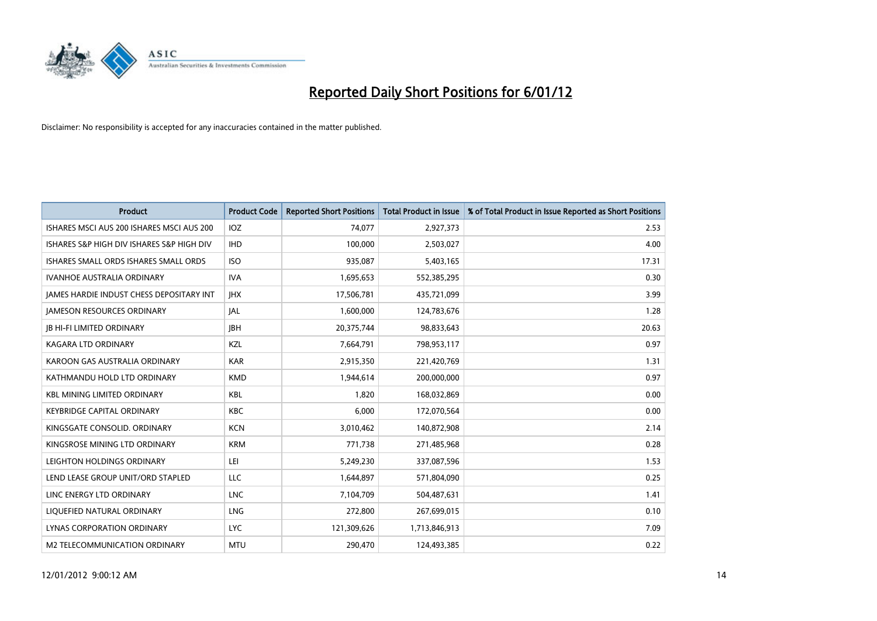

| <b>Product</b>                                  | <b>Product Code</b> | <b>Reported Short Positions</b> | <b>Total Product in Issue</b> | % of Total Product in Issue Reported as Short Positions |
|-------------------------------------------------|---------------------|---------------------------------|-------------------------------|---------------------------------------------------------|
| ISHARES MSCI AUS 200 ISHARES MSCI AUS 200       | IOZ                 | 74,077                          | 2,927,373                     | 2.53                                                    |
| ISHARES S&P HIGH DIV ISHARES S&P HIGH DIV       | <b>IHD</b>          | 100,000                         | 2,503,027                     | 4.00                                                    |
| <b>ISHARES SMALL ORDS ISHARES SMALL ORDS</b>    | <b>ISO</b>          | 935,087                         | 5,403,165                     | 17.31                                                   |
| IVANHOE AUSTRALIA ORDINARY                      | <b>IVA</b>          | 1,695,653                       | 552,385,295                   | 0.30                                                    |
| <b>IAMES HARDIE INDUST CHESS DEPOSITARY INT</b> | <b>IHX</b>          | 17,506,781                      | 435,721,099                   | 3.99                                                    |
| <b>JAMESON RESOURCES ORDINARY</b>               | <b>JAL</b>          | 1,600,000                       | 124,783,676                   | 1.28                                                    |
| <b>JB HI-FI LIMITED ORDINARY</b>                | <b>IBH</b>          | 20,375,744                      | 98,833,643                    | 20.63                                                   |
| <b>KAGARA LTD ORDINARY</b>                      | <b>KZL</b>          | 7,664,791                       | 798,953,117                   | 0.97                                                    |
| KAROON GAS AUSTRALIA ORDINARY                   | <b>KAR</b>          | 2,915,350                       | 221,420,769                   | 1.31                                                    |
| KATHMANDU HOLD LTD ORDINARY                     | <b>KMD</b>          | 1,944,614                       | 200,000,000                   | 0.97                                                    |
| <b>KBL MINING LIMITED ORDINARY</b>              | <b>KBL</b>          | 1.820                           | 168,032,869                   | 0.00                                                    |
| <b>KEYBRIDGE CAPITAL ORDINARY</b>               | <b>KBC</b>          | 6,000                           | 172,070,564                   | 0.00                                                    |
| KINGSGATE CONSOLID. ORDINARY                    | <b>KCN</b>          | 3,010,462                       | 140,872,908                   | 2.14                                                    |
| KINGSROSE MINING LTD ORDINARY                   | <b>KRM</b>          | 771.738                         | 271,485,968                   | 0.28                                                    |
| LEIGHTON HOLDINGS ORDINARY                      | LEI                 | 5,249,230                       | 337,087,596                   | 1.53                                                    |
| LEND LEASE GROUP UNIT/ORD STAPLED               | <b>LLC</b>          | 1,644,897                       | 571,804,090                   | 0.25                                                    |
| LINC ENERGY LTD ORDINARY                        | <b>LNC</b>          | 7,104,709                       | 504,487,631                   | 1.41                                                    |
| LIQUEFIED NATURAL ORDINARY                      | <b>LNG</b>          | 272,800                         | 267,699,015                   | 0.10                                                    |
| LYNAS CORPORATION ORDINARY                      | <b>LYC</b>          | 121,309,626                     | 1,713,846,913                 | 7.09                                                    |
| M2 TELECOMMUNICATION ORDINARY                   | <b>MTU</b>          | 290.470                         | 124,493,385                   | 0.22                                                    |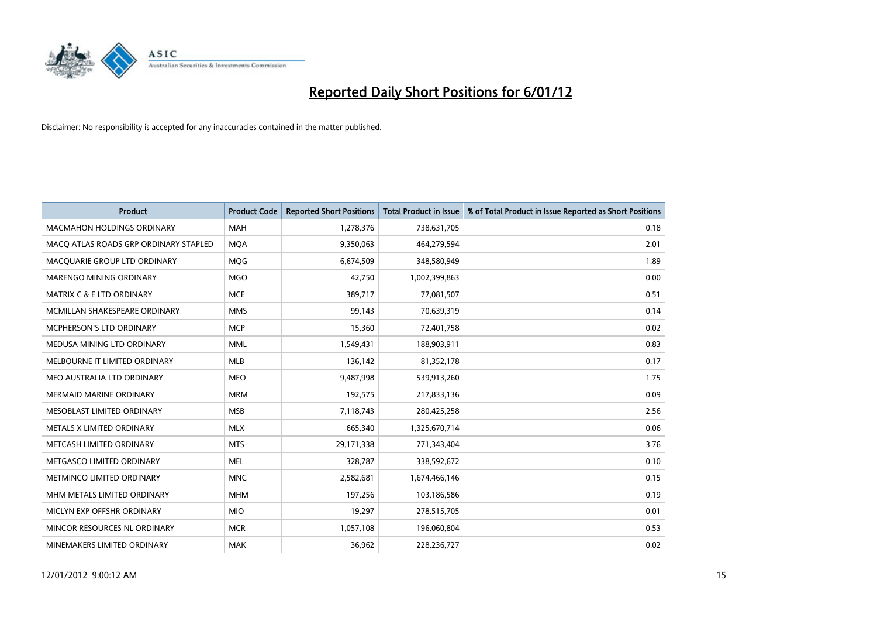

| <b>Product</b>                        | <b>Product Code</b> | <b>Reported Short Positions</b> | <b>Total Product in Issue</b> | % of Total Product in Issue Reported as Short Positions |
|---------------------------------------|---------------------|---------------------------------|-------------------------------|---------------------------------------------------------|
| <b>MACMAHON HOLDINGS ORDINARY</b>     | <b>MAH</b>          | 1,278,376                       | 738,631,705                   | 0.18                                                    |
| MACO ATLAS ROADS GRP ORDINARY STAPLED | <b>MQA</b>          | 9,350,063                       | 464,279,594                   | 2.01                                                    |
| MACOUARIE GROUP LTD ORDINARY          | <b>MOG</b>          | 6,674,509                       | 348,580,949                   | 1.89                                                    |
| MARENGO MINING ORDINARY               | <b>MGO</b>          | 42,750                          | 1,002,399,863                 | 0.00                                                    |
| <b>MATRIX C &amp; E LTD ORDINARY</b>  | <b>MCE</b>          | 389,717                         | 77,081,507                    | 0.51                                                    |
| MCMILLAN SHAKESPEARE ORDINARY         | <b>MMS</b>          | 99,143                          | 70,639,319                    | 0.14                                                    |
| <b>MCPHERSON'S LTD ORDINARY</b>       | <b>MCP</b>          | 15,360                          | 72,401,758                    | 0.02                                                    |
| MEDUSA MINING LTD ORDINARY            | <b>MML</b>          | 1,549,431                       | 188,903,911                   | 0.83                                                    |
| MELBOURNE IT LIMITED ORDINARY         | <b>MLB</b>          | 136,142                         | 81,352,178                    | 0.17                                                    |
| MEO AUSTRALIA LTD ORDINARY            | <b>MEO</b>          | 9,487,998                       | 539,913,260                   | 1.75                                                    |
| MERMAID MARINE ORDINARY               | <b>MRM</b>          | 192,575                         | 217,833,136                   | 0.09                                                    |
| MESOBLAST LIMITED ORDINARY            | <b>MSB</b>          | 7,118,743                       | 280,425,258                   | 2.56                                                    |
| METALS X LIMITED ORDINARY             | <b>MLX</b>          | 665,340                         | 1,325,670,714                 | 0.06                                                    |
| METCASH LIMITED ORDINARY              | <b>MTS</b>          | 29,171,338                      | 771,343,404                   | 3.76                                                    |
| METGASCO LIMITED ORDINARY             | <b>MEL</b>          | 328,787                         | 338,592,672                   | 0.10                                                    |
| METMINCO LIMITED ORDINARY             | <b>MNC</b>          | 2,582,681                       | 1,674,466,146                 | 0.15                                                    |
| MHM METALS LIMITED ORDINARY           | <b>MHM</b>          | 197,256                         | 103,186,586                   | 0.19                                                    |
| MICLYN EXP OFFSHR ORDINARY            | <b>MIO</b>          | 19,297                          | 278,515,705                   | 0.01                                                    |
| MINCOR RESOURCES NL ORDINARY          | <b>MCR</b>          | 1,057,108                       | 196,060,804                   | 0.53                                                    |
| MINEMAKERS LIMITED ORDINARY           | <b>MAK</b>          | 36,962                          | 228,236,727                   | 0.02                                                    |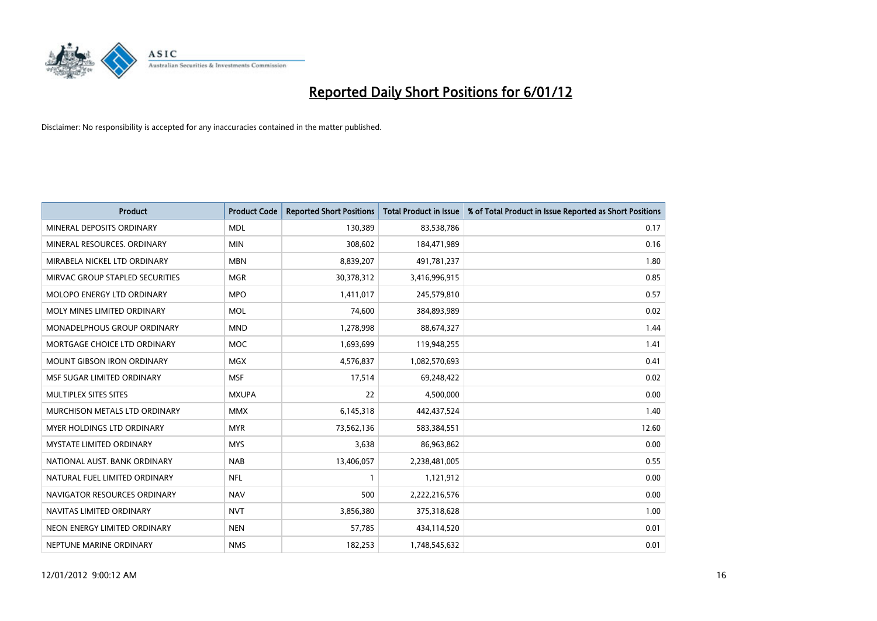

| <b>Product</b>                    | <b>Product Code</b> | <b>Reported Short Positions</b> | <b>Total Product in Issue</b> | % of Total Product in Issue Reported as Short Positions |
|-----------------------------------|---------------------|---------------------------------|-------------------------------|---------------------------------------------------------|
| MINERAL DEPOSITS ORDINARY         | <b>MDL</b>          | 130,389                         | 83,538,786                    | 0.17                                                    |
| MINERAL RESOURCES, ORDINARY       | <b>MIN</b>          | 308,602                         | 184,471,989                   | 0.16                                                    |
| MIRABELA NICKEL LTD ORDINARY      | <b>MBN</b>          | 8,839,207                       | 491,781,237                   | 1.80                                                    |
| MIRVAC GROUP STAPLED SECURITIES   | <b>MGR</b>          | 30,378,312                      | 3,416,996,915                 | 0.85                                                    |
| MOLOPO ENERGY LTD ORDINARY        | <b>MPO</b>          | 1,411,017                       | 245,579,810                   | 0.57                                                    |
| MOLY MINES LIMITED ORDINARY       | <b>MOL</b>          | 74,600                          | 384,893,989                   | 0.02                                                    |
| MONADELPHOUS GROUP ORDINARY       | <b>MND</b>          | 1,278,998                       | 88,674,327                    | 1.44                                                    |
| MORTGAGE CHOICE LTD ORDINARY      | <b>MOC</b>          | 1,693,699                       | 119,948,255                   | 1.41                                                    |
| <b>MOUNT GIBSON IRON ORDINARY</b> | <b>MGX</b>          | 4,576,837                       | 1,082,570,693                 | 0.41                                                    |
| MSF SUGAR LIMITED ORDINARY        | <b>MSF</b>          | 17,514                          | 69,248,422                    | 0.02                                                    |
| MULTIPLEX SITES SITES             | <b>MXUPA</b>        | 22                              | 4,500,000                     | 0.00                                                    |
| MURCHISON METALS LTD ORDINARY     | <b>MMX</b>          | 6,145,318                       | 442,437,524                   | 1.40                                                    |
| <b>MYER HOLDINGS LTD ORDINARY</b> | <b>MYR</b>          | 73,562,136                      | 583,384,551                   | 12.60                                                   |
| <b>MYSTATE LIMITED ORDINARY</b>   | <b>MYS</b>          | 3,638                           | 86,963,862                    | 0.00                                                    |
| NATIONAL AUST, BANK ORDINARY      | <b>NAB</b>          | 13,406,057                      | 2,238,481,005                 | 0.55                                                    |
| NATURAL FUEL LIMITED ORDINARY     | <b>NFL</b>          |                                 | 1,121,912                     | 0.00                                                    |
| NAVIGATOR RESOURCES ORDINARY      | <b>NAV</b>          | 500                             | 2,222,216,576                 | 0.00                                                    |
| NAVITAS LIMITED ORDINARY          | <b>NVT</b>          | 3,856,380                       | 375,318,628                   | 1.00                                                    |
| NEON ENERGY LIMITED ORDINARY      | <b>NEN</b>          | 57,785                          | 434,114,520                   | 0.01                                                    |
| NEPTUNE MARINE ORDINARY           | <b>NMS</b>          | 182,253                         | 1,748,545,632                 | 0.01                                                    |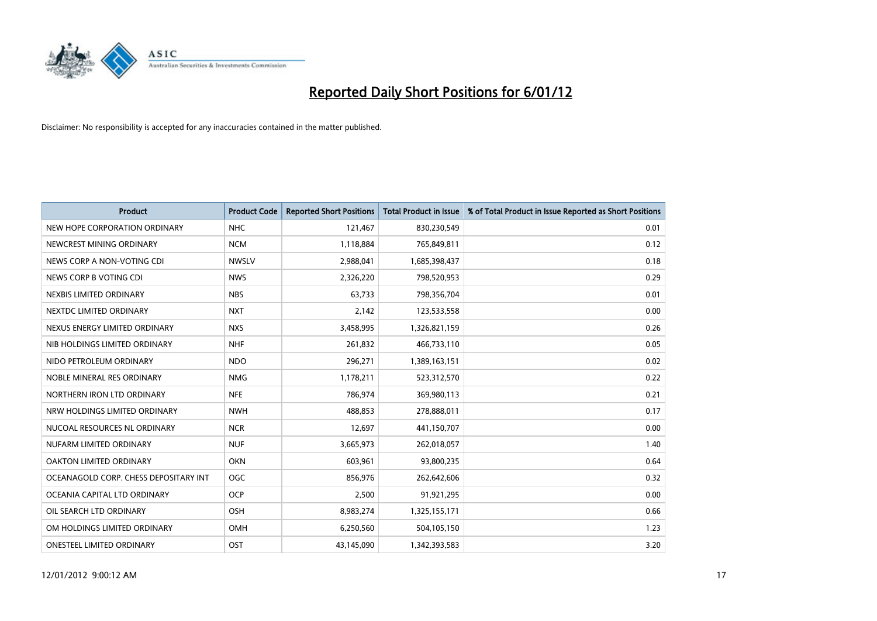

| <b>Product</b>                        | <b>Product Code</b> | <b>Reported Short Positions</b> | <b>Total Product in Issue</b> | % of Total Product in Issue Reported as Short Positions |
|---------------------------------------|---------------------|---------------------------------|-------------------------------|---------------------------------------------------------|
| NEW HOPE CORPORATION ORDINARY         | <b>NHC</b>          | 121,467                         | 830,230,549                   | 0.01                                                    |
| NEWCREST MINING ORDINARY              | <b>NCM</b>          | 1,118,884                       | 765,849,811                   | 0.12                                                    |
| NEWS CORP A NON-VOTING CDI            | <b>NWSLV</b>        | 2,988,041                       | 1,685,398,437                 | 0.18                                                    |
| NEWS CORP B VOTING CDI                | <b>NWS</b>          | 2,326,220                       | 798,520,953                   | 0.29                                                    |
| NEXBIS LIMITED ORDINARY               | <b>NBS</b>          | 63,733                          | 798,356,704                   | 0.01                                                    |
| NEXTDC LIMITED ORDINARY               | <b>NXT</b>          | 2,142                           | 123,533,558                   | 0.00                                                    |
| NEXUS ENERGY LIMITED ORDINARY         | <b>NXS</b>          | 3,458,995                       | 1,326,821,159                 | 0.26                                                    |
| NIB HOLDINGS LIMITED ORDINARY         | <b>NHF</b>          | 261,832                         | 466,733,110                   | 0.05                                                    |
| NIDO PETROLEUM ORDINARY               | <b>NDO</b>          | 296,271                         | 1,389,163,151                 | 0.02                                                    |
| NOBLE MINERAL RES ORDINARY            | <b>NMG</b>          | 1,178,211                       | 523,312,570                   | 0.22                                                    |
| NORTHERN IRON LTD ORDINARY            | <b>NFE</b>          | 786,974                         | 369,980,113                   | 0.21                                                    |
| NRW HOLDINGS LIMITED ORDINARY         | <b>NWH</b>          | 488,853                         | 278,888,011                   | 0.17                                                    |
| NUCOAL RESOURCES NL ORDINARY          | <b>NCR</b>          | 12,697                          | 441,150,707                   | 0.00                                                    |
| NUFARM LIMITED ORDINARY               | <b>NUF</b>          | 3,665,973                       | 262,018,057                   | 1.40                                                    |
| <b>OAKTON LIMITED ORDINARY</b>        | <b>OKN</b>          | 603,961                         | 93,800,235                    | 0.64                                                    |
| OCEANAGOLD CORP. CHESS DEPOSITARY INT | <b>OGC</b>          | 856,976                         | 262,642,606                   | 0.32                                                    |
| OCEANIA CAPITAL LTD ORDINARY          | <b>OCP</b>          | 2,500                           | 91,921,295                    | 0.00                                                    |
| OIL SEARCH LTD ORDINARY               | <b>OSH</b>          | 8,983,274                       | 1,325,155,171                 | 0.66                                                    |
| OM HOLDINGS LIMITED ORDINARY          | OMH                 | 6,250,560                       | 504,105,150                   | 1.23                                                    |
| <b>ONESTEEL LIMITED ORDINARY</b>      | OST                 | 43,145,090                      | 1,342,393,583                 | 3.20                                                    |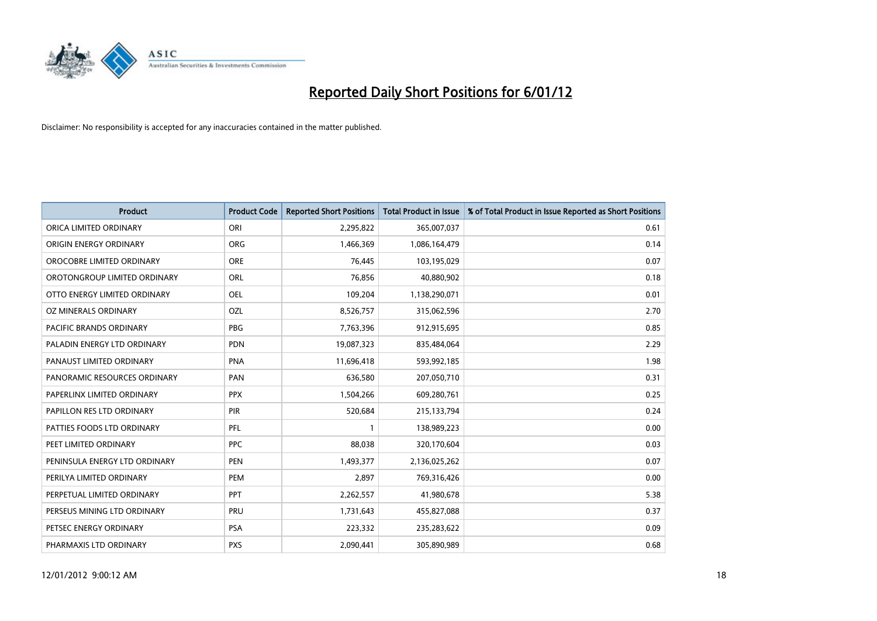

| <b>Product</b>                 | <b>Product Code</b> | <b>Reported Short Positions</b> | <b>Total Product in Issue</b> | % of Total Product in Issue Reported as Short Positions |
|--------------------------------|---------------------|---------------------------------|-------------------------------|---------------------------------------------------------|
| ORICA LIMITED ORDINARY         | ORI                 | 2,295,822                       | 365,007,037                   | 0.61                                                    |
| ORIGIN ENERGY ORDINARY         | <b>ORG</b>          | 1,466,369                       | 1,086,164,479                 | 0.14                                                    |
| OROCOBRE LIMITED ORDINARY      | <b>ORE</b>          | 76,445                          | 103,195,029                   | 0.07                                                    |
| OROTONGROUP LIMITED ORDINARY   | ORL                 | 76,856                          | 40,880,902                    | 0.18                                                    |
| OTTO ENERGY LIMITED ORDINARY   | <b>OEL</b>          | 109,204                         | 1,138,290,071                 | 0.01                                                    |
| OZ MINERALS ORDINARY           | OZL                 | 8,526,757                       | 315,062,596                   | 2.70                                                    |
| <b>PACIFIC BRANDS ORDINARY</b> | <b>PBG</b>          | 7,763,396                       | 912,915,695                   | 0.85                                                    |
| PALADIN ENERGY LTD ORDINARY    | <b>PDN</b>          | 19,087,323                      | 835,484,064                   | 2.29                                                    |
| PANAUST LIMITED ORDINARY       | <b>PNA</b>          | 11,696,418                      | 593,992,185                   | 1.98                                                    |
| PANORAMIC RESOURCES ORDINARY   | PAN                 | 636,580                         | 207,050,710                   | 0.31                                                    |
| PAPERLINX LIMITED ORDINARY     | <b>PPX</b>          | 1,504,266                       | 609,280,761                   | 0.25                                                    |
| PAPILLON RES LTD ORDINARY      | <b>PIR</b>          | 520,684                         | 215,133,794                   | 0.24                                                    |
| PATTIES FOODS LTD ORDINARY     | PFL                 |                                 | 138,989,223                   | 0.00                                                    |
| PEET LIMITED ORDINARY          | <b>PPC</b>          | 88.038                          | 320,170,604                   | 0.03                                                    |
| PENINSULA ENERGY LTD ORDINARY  | <b>PEN</b>          | 1,493,377                       | 2,136,025,262                 | 0.07                                                    |
| PERILYA LIMITED ORDINARY       | PEM                 | 2,897                           | 769,316,426                   | 0.00                                                    |
| PERPETUAL LIMITED ORDINARY     | PPT                 | 2,262,557                       | 41,980,678                    | 5.38                                                    |
| PERSEUS MINING LTD ORDINARY    | PRU                 | 1,731,643                       | 455,827,088                   | 0.37                                                    |
| PETSEC ENERGY ORDINARY         | <b>PSA</b>          | 223,332                         | 235,283,622                   | 0.09                                                    |
| PHARMAXIS LTD ORDINARY         | <b>PXS</b>          | 2.090.441                       | 305,890,989                   | 0.68                                                    |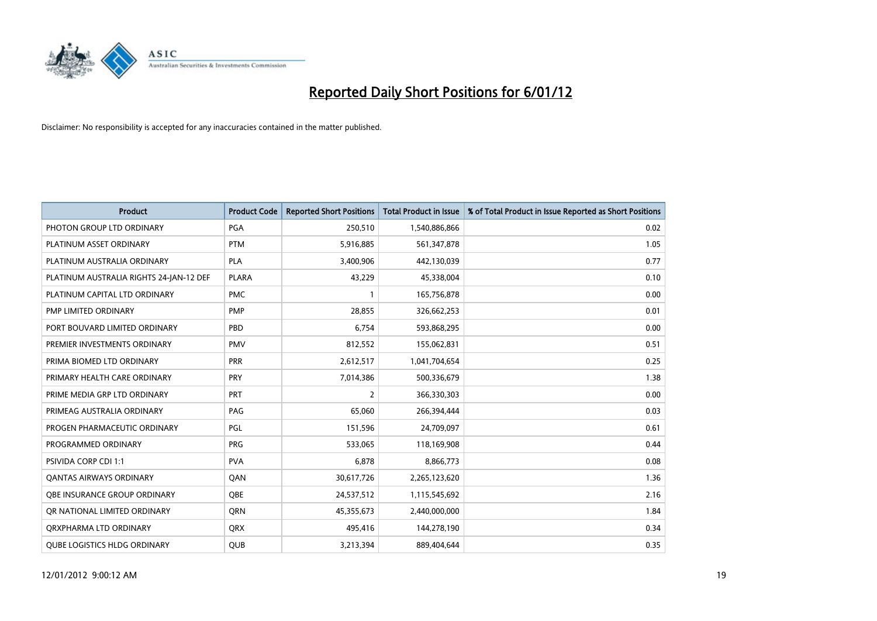

| <b>Product</b>                          | <b>Product Code</b> | <b>Reported Short Positions</b> | <b>Total Product in Issue</b> | % of Total Product in Issue Reported as Short Positions |
|-----------------------------------------|---------------------|---------------------------------|-------------------------------|---------------------------------------------------------|
| PHOTON GROUP LTD ORDINARY               | PGA                 | 250,510                         | 1,540,886,866                 | 0.02                                                    |
| PLATINUM ASSET ORDINARY                 | <b>PTM</b>          | 5,916,885                       | 561,347,878                   | 1.05                                                    |
| PLATINUM AUSTRALIA ORDINARY             | <b>PLA</b>          | 3,400,906                       | 442,130,039                   | 0.77                                                    |
| PLATINUM AUSTRALIA RIGHTS 24-JAN-12 DEF | <b>PLARA</b>        | 43,229                          | 45,338,004                    | 0.10                                                    |
| PLATINUM CAPITAL LTD ORDINARY           | <b>PMC</b>          |                                 | 165,756,878                   | 0.00                                                    |
| <b>PMP LIMITED ORDINARY</b>             | <b>PMP</b>          | 28.855                          | 326,662,253                   | 0.01                                                    |
| PORT BOUVARD LIMITED ORDINARY           | <b>PBD</b>          | 6,754                           | 593,868,295                   | 0.00                                                    |
| PREMIER INVESTMENTS ORDINARY            | <b>PMV</b>          | 812,552                         | 155,062,831                   | 0.51                                                    |
| PRIMA BIOMED LTD ORDINARY               | <b>PRR</b>          | 2,612,517                       | 1,041,704,654                 | 0.25                                                    |
| PRIMARY HEALTH CARE ORDINARY            | <b>PRY</b>          | 7,014,386                       | 500,336,679                   | 1.38                                                    |
| PRIME MEDIA GRP LTD ORDINARY            | <b>PRT</b>          | 2                               | 366,330,303                   | 0.00                                                    |
| PRIMEAG AUSTRALIA ORDINARY              | PAG                 | 65,060                          | 266,394,444                   | 0.03                                                    |
| PROGEN PHARMACEUTIC ORDINARY            | <b>PGL</b>          | 151,596                         | 24,709,097                    | 0.61                                                    |
| PROGRAMMED ORDINARY                     | <b>PRG</b>          | 533,065                         | 118,169,908                   | 0.44                                                    |
| PSIVIDA CORP CDI 1:1                    | <b>PVA</b>          | 6,878                           | 8,866,773                     | 0.08                                                    |
| <b>QANTAS AIRWAYS ORDINARY</b>          | QAN                 | 30,617,726                      | 2,265,123,620                 | 1.36                                                    |
| <b>OBE INSURANCE GROUP ORDINARY</b>     | <b>OBE</b>          | 24,537,512                      | 1,115,545,692                 | 2.16                                                    |
| OR NATIONAL LIMITED ORDINARY            | <b>ORN</b>          | 45,355,673                      | 2,440,000,000                 | 1.84                                                    |
| ORXPHARMA LTD ORDINARY                  | <b>ORX</b>          | 495,416                         | 144,278,190                   | 0.34                                                    |
| <b>QUBE LOGISTICS HLDG ORDINARY</b>     | <b>QUB</b>          | 3,213,394                       | 889,404,644                   | 0.35                                                    |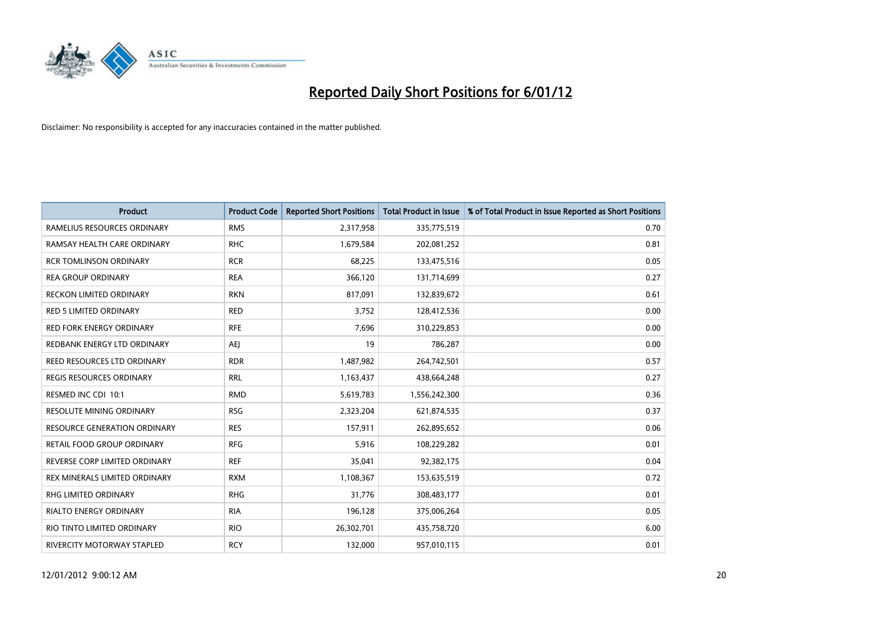

| <b>Product</b>                      | <b>Product Code</b> | <b>Reported Short Positions</b> | <b>Total Product in Issue</b> | % of Total Product in Issue Reported as Short Positions |
|-------------------------------------|---------------------|---------------------------------|-------------------------------|---------------------------------------------------------|
| RAMELIUS RESOURCES ORDINARY         | <b>RMS</b>          | 2,317,958                       | 335,775,519                   | 0.70                                                    |
| RAMSAY HEALTH CARE ORDINARY         | <b>RHC</b>          | 1,679,584                       | 202,081,252                   | 0.81                                                    |
| <b>RCR TOMLINSON ORDINARY</b>       | <b>RCR</b>          | 68,225                          | 133,475,516                   | 0.05                                                    |
| <b>REA GROUP ORDINARY</b>           | <b>REA</b>          | 366,120                         | 131,714,699                   | 0.27                                                    |
| <b>RECKON LIMITED ORDINARY</b>      | <b>RKN</b>          | 817,091                         | 132,839,672                   | 0.61                                                    |
| <b>RED 5 LIMITED ORDINARY</b>       | <b>RED</b>          | 3,752                           | 128,412,536                   | 0.00                                                    |
| <b>RED FORK ENERGY ORDINARY</b>     | <b>RFE</b>          | 7,696                           | 310,229,853                   | 0.00                                                    |
| REDBANK ENERGY LTD ORDINARY         | AEI                 | 19                              | 786,287                       | 0.00                                                    |
| REED RESOURCES LTD ORDINARY         | <b>RDR</b>          | 1,487,982                       | 264,742,501                   | 0.57                                                    |
| <b>REGIS RESOURCES ORDINARY</b>     | <b>RRL</b>          | 1,163,437                       | 438,664,248                   | 0.27                                                    |
| RESMED INC CDI 10:1                 | <b>RMD</b>          | 5,619,783                       | 1,556,242,300                 | 0.36                                                    |
| <b>RESOLUTE MINING ORDINARY</b>     | <b>RSG</b>          | 2,323,204                       | 621,874,535                   | 0.37                                                    |
| <b>RESOURCE GENERATION ORDINARY</b> | <b>RES</b>          | 157,911                         | 262,895,652                   | 0.06                                                    |
| RETAIL FOOD GROUP ORDINARY          | <b>RFG</b>          | 5,916                           | 108,229,282                   | 0.01                                                    |
| REVERSE CORP LIMITED ORDINARY       | <b>REF</b>          | 35,041                          | 92,382,175                    | 0.04                                                    |
| REX MINERALS LIMITED ORDINARY       | <b>RXM</b>          | 1,108,367                       | 153,635,519                   | 0.72                                                    |
| RHG LIMITED ORDINARY                | <b>RHG</b>          | 31,776                          | 308,483,177                   | 0.01                                                    |
| <b>RIALTO ENERGY ORDINARY</b>       | <b>RIA</b>          | 196,128                         | 375,006,264                   | 0.05                                                    |
| RIO TINTO LIMITED ORDINARY          | <b>RIO</b>          | 26,302,701                      | 435,758,720                   | 6.00                                                    |
| RIVERCITY MOTORWAY STAPLED          | <b>RCY</b>          | 132,000                         | 957,010,115                   | 0.01                                                    |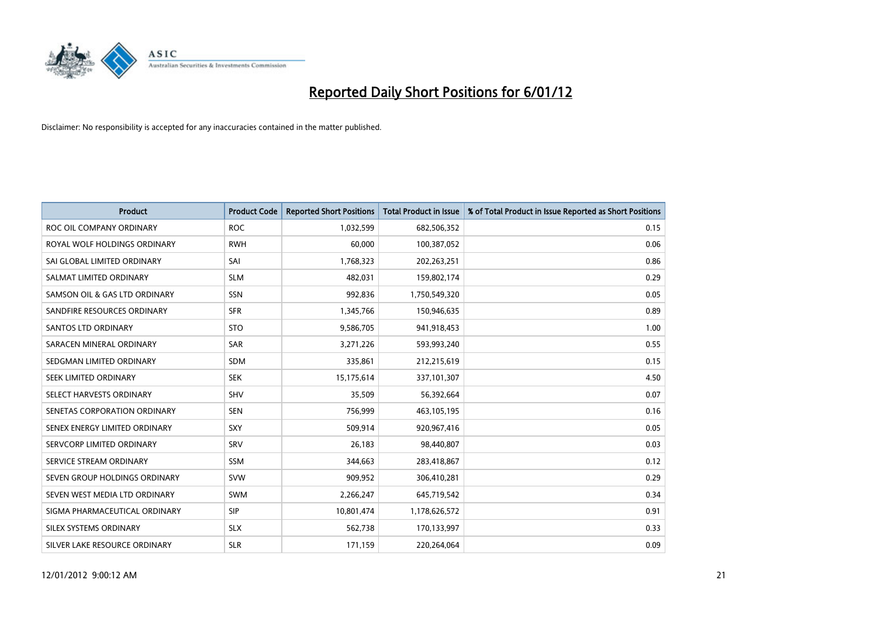

| <b>Product</b>                | <b>Product Code</b> | <b>Reported Short Positions</b> | <b>Total Product in Issue</b> | % of Total Product in Issue Reported as Short Positions |
|-------------------------------|---------------------|---------------------------------|-------------------------------|---------------------------------------------------------|
| ROC OIL COMPANY ORDINARY      | <b>ROC</b>          | 1,032,599                       | 682,506,352                   | 0.15                                                    |
| ROYAL WOLF HOLDINGS ORDINARY  | <b>RWH</b>          | 60,000                          | 100,387,052                   | 0.06                                                    |
| SAI GLOBAL LIMITED ORDINARY   | SAI                 | 1,768,323                       | 202,263,251                   | 0.86                                                    |
| SALMAT LIMITED ORDINARY       | <b>SLM</b>          | 482,031                         | 159,802,174                   | 0.29                                                    |
| SAMSON OIL & GAS LTD ORDINARY | SSN                 | 992,836                         | 1,750,549,320                 | 0.05                                                    |
| SANDFIRE RESOURCES ORDINARY   | <b>SFR</b>          | 1,345,766                       | 150,946,635                   | 0.89                                                    |
| <b>SANTOS LTD ORDINARY</b>    | <b>STO</b>          | 9,586,705                       | 941,918,453                   | 1.00                                                    |
| SARACEN MINERAL ORDINARY      | SAR                 | 3,271,226                       | 593,993,240                   | 0.55                                                    |
| SEDGMAN LIMITED ORDINARY      | SDM                 | 335,861                         | 212,215,619                   | 0.15                                                    |
| SEEK LIMITED ORDINARY         | <b>SEK</b>          | 15,175,614                      | 337,101,307                   | 4.50                                                    |
| SELECT HARVESTS ORDINARY      | SHV                 | 35,509                          | 56,392,664                    | 0.07                                                    |
| SENETAS CORPORATION ORDINARY  | <b>SEN</b>          | 756,999                         | 463,105,195                   | 0.16                                                    |
| SENEX ENERGY LIMITED ORDINARY | <b>SXY</b>          | 509,914                         | 920,967,416                   | 0.05                                                    |
| SERVCORP LIMITED ORDINARY     | SRV                 | 26,183                          | 98,440,807                    | 0.03                                                    |
| SERVICE STREAM ORDINARY       | <b>SSM</b>          | 344,663                         | 283,418,867                   | 0.12                                                    |
| SEVEN GROUP HOLDINGS ORDINARY | <b>SVW</b>          | 909,952                         | 306,410,281                   | 0.29                                                    |
| SEVEN WEST MEDIA LTD ORDINARY | <b>SWM</b>          | 2,266,247                       | 645,719,542                   | 0.34                                                    |
| SIGMA PHARMACEUTICAL ORDINARY | <b>SIP</b>          | 10,801,474                      | 1,178,626,572                 | 0.91                                                    |
| SILEX SYSTEMS ORDINARY        | <b>SLX</b>          | 562,738                         | 170,133,997                   | 0.33                                                    |
| SILVER LAKE RESOURCE ORDINARY | <b>SLR</b>          | 171,159                         | 220.264.064                   | 0.09                                                    |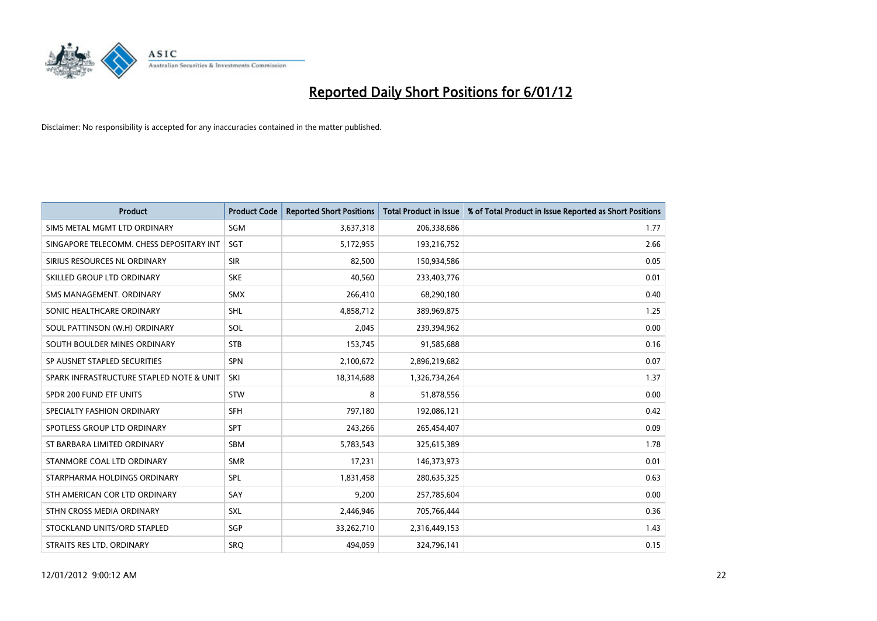

| <b>Product</b>                           | <b>Product Code</b> | <b>Reported Short Positions</b> | <b>Total Product in Issue</b> | % of Total Product in Issue Reported as Short Positions |
|------------------------------------------|---------------------|---------------------------------|-------------------------------|---------------------------------------------------------|
| SIMS METAL MGMT LTD ORDINARY             | SGM                 | 3,637,318                       | 206,338,686                   | 1.77                                                    |
| SINGAPORE TELECOMM. CHESS DEPOSITARY INT | <b>SGT</b>          | 5,172,955                       | 193,216,752                   | 2.66                                                    |
| SIRIUS RESOURCES NL ORDINARY             | <b>SIR</b>          | 82,500                          | 150,934,586                   | 0.05                                                    |
| SKILLED GROUP LTD ORDINARY               | <b>SKE</b>          | 40,560                          | 233,403,776                   | 0.01                                                    |
| SMS MANAGEMENT, ORDINARY                 | <b>SMX</b>          | 266,410                         | 68,290,180                    | 0.40                                                    |
| SONIC HEALTHCARE ORDINARY                | <b>SHL</b>          | 4,858,712                       | 389,969,875                   | 1.25                                                    |
| SOUL PATTINSON (W.H) ORDINARY            | SOL                 | 2,045                           | 239,394,962                   | 0.00                                                    |
| SOUTH BOULDER MINES ORDINARY             | <b>STB</b>          | 153,745                         | 91,585,688                    | 0.16                                                    |
| SP AUSNET STAPLED SECURITIES             | <b>SPN</b>          | 2,100,672                       | 2,896,219,682                 | 0.07                                                    |
| SPARK INFRASTRUCTURE STAPLED NOTE & UNIT | SKI                 | 18,314,688                      | 1,326,734,264                 | 1.37                                                    |
| SPDR 200 FUND ETF UNITS                  | <b>STW</b>          | 8                               | 51,878,556                    | 0.00                                                    |
| SPECIALTY FASHION ORDINARY               | <b>SFH</b>          | 797,180                         | 192,086,121                   | 0.42                                                    |
| SPOTLESS GROUP LTD ORDINARY              | <b>SPT</b>          | 243,266                         | 265,454,407                   | 0.09                                                    |
| ST BARBARA LIMITED ORDINARY              | <b>SBM</b>          | 5,783,543                       | 325,615,389                   | 1.78                                                    |
| STANMORE COAL LTD ORDINARY               | <b>SMR</b>          | 17,231                          | 146,373,973                   | 0.01                                                    |
| STARPHARMA HOLDINGS ORDINARY             | SPL                 | 1,831,458                       | 280,635,325                   | 0.63                                                    |
| STH AMERICAN COR LTD ORDINARY            | SAY                 | 9,200                           | 257,785,604                   | 0.00                                                    |
| STHN CROSS MEDIA ORDINARY                | <b>SXL</b>          | 2,446,946                       | 705,766,444                   | 0.36                                                    |
| STOCKLAND UNITS/ORD STAPLED              | <b>SGP</b>          | 33,262,710                      | 2,316,449,153                 | 1.43                                                    |
| STRAITS RES LTD. ORDINARY                | SRO                 | 494,059                         | 324,796,141                   | 0.15                                                    |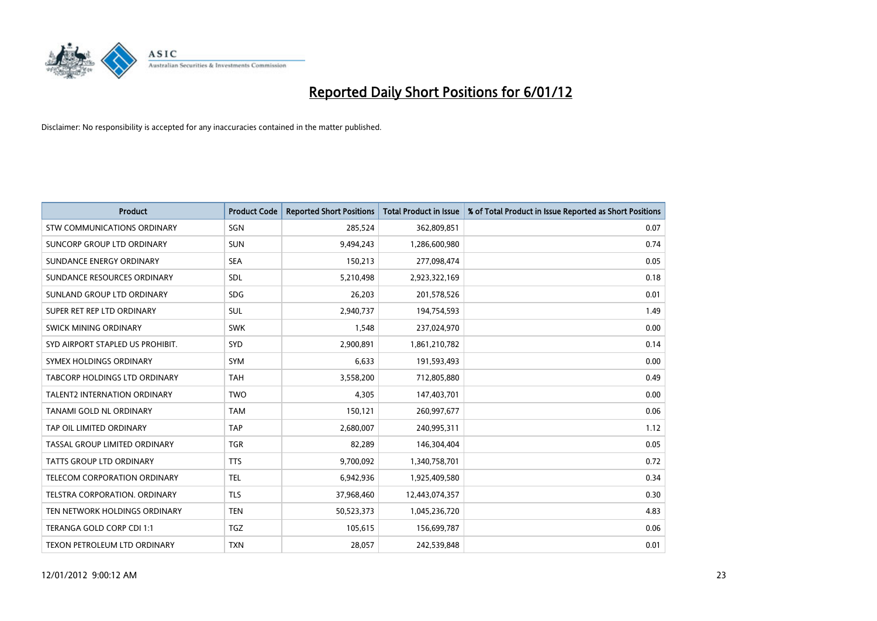

| <b>Product</b>                      | <b>Product Code</b> | <b>Reported Short Positions</b> | <b>Total Product in Issue</b> | % of Total Product in Issue Reported as Short Positions |
|-------------------------------------|---------------------|---------------------------------|-------------------------------|---------------------------------------------------------|
| <b>STW COMMUNICATIONS ORDINARY</b>  | SGN                 | 285,524                         | 362,809,851                   | 0.07                                                    |
| SUNCORP GROUP LTD ORDINARY          | <b>SUN</b>          | 9,494,243                       | 1,286,600,980                 | 0.74                                                    |
| SUNDANCE ENERGY ORDINARY            | <b>SEA</b>          | 150,213                         | 277,098,474                   | 0.05                                                    |
| SUNDANCE RESOURCES ORDINARY         | <b>SDL</b>          | 5,210,498                       | 2,923,322,169                 | 0.18                                                    |
| SUNLAND GROUP LTD ORDINARY          | <b>SDG</b>          | 26,203                          | 201,578,526                   | 0.01                                                    |
| SUPER RET REP LTD ORDINARY          | <b>SUL</b>          | 2,940,737                       | 194,754,593                   | 1.49                                                    |
| SWICK MINING ORDINARY               | <b>SWK</b>          | 1,548                           | 237,024,970                   | 0.00                                                    |
| SYD AIRPORT STAPLED US PROHIBIT.    | SYD                 | 2,900,891                       | 1,861,210,782                 | 0.14                                                    |
| SYMEX HOLDINGS ORDINARY             | <b>SYM</b>          | 6,633                           | 191,593,493                   | 0.00                                                    |
| TABCORP HOLDINGS LTD ORDINARY       | <b>TAH</b>          | 3,558,200                       | 712,805,880                   | 0.49                                                    |
| <b>TALENT2 INTERNATION ORDINARY</b> | <b>TWO</b>          | 4,305                           | 147,403,701                   | 0.00                                                    |
| TANAMI GOLD NL ORDINARY             | <b>TAM</b>          | 150,121                         | 260,997,677                   | 0.06                                                    |
| TAP OIL LIMITED ORDINARY            | <b>TAP</b>          | 2,680,007                       | 240,995,311                   | 1.12                                                    |
| TASSAL GROUP LIMITED ORDINARY       | <b>TGR</b>          | 82,289                          | 146,304,404                   | 0.05                                                    |
| <b>TATTS GROUP LTD ORDINARY</b>     | <b>TTS</b>          | 9,700,092                       | 1,340,758,701                 | 0.72                                                    |
| TELECOM CORPORATION ORDINARY        | <b>TEL</b>          | 6,942,936                       | 1,925,409,580                 | 0.34                                                    |
| TELSTRA CORPORATION, ORDINARY       | <b>TLS</b>          | 37,968,460                      | 12,443,074,357                | 0.30                                                    |
| TEN NETWORK HOLDINGS ORDINARY       | <b>TEN</b>          | 50,523,373                      | 1,045,236,720                 | 4.83                                                    |
| TERANGA GOLD CORP CDI 1:1           | <b>TGZ</b>          | 105,615                         | 156,699,787                   | 0.06                                                    |
| TEXON PETROLEUM LTD ORDINARY        | <b>TXN</b>          | 28.057                          | 242,539,848                   | 0.01                                                    |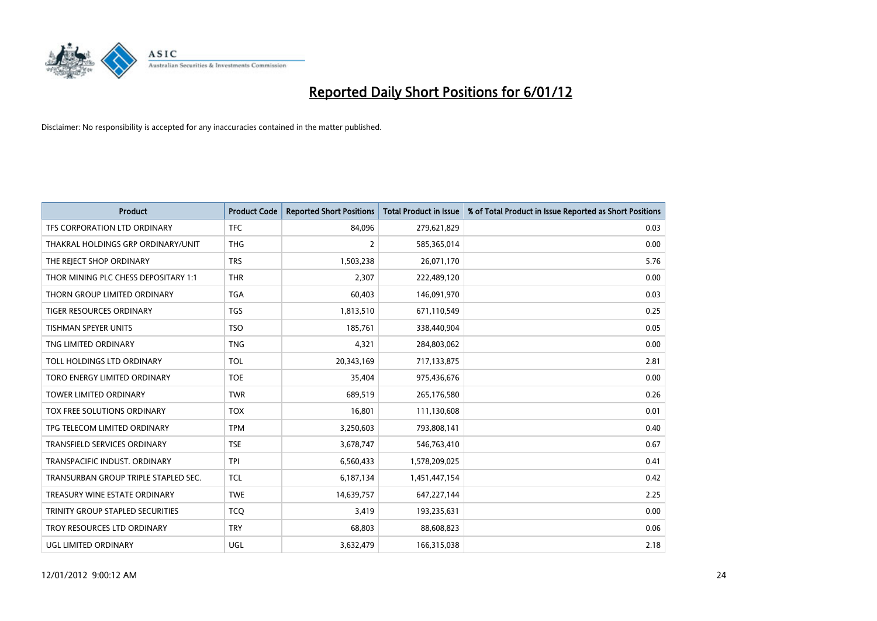

| <b>Product</b>                       | <b>Product Code</b> | <b>Reported Short Positions</b> | <b>Total Product in Issue</b> | % of Total Product in Issue Reported as Short Positions |
|--------------------------------------|---------------------|---------------------------------|-------------------------------|---------------------------------------------------------|
| TFS CORPORATION LTD ORDINARY         | <b>TFC</b>          | 84.096                          | 279,621,829                   | 0.03                                                    |
| THAKRAL HOLDINGS GRP ORDINARY/UNIT   | <b>THG</b>          | $\overline{2}$                  | 585,365,014                   | 0.00                                                    |
| THE REJECT SHOP ORDINARY             | <b>TRS</b>          | 1,503,238                       | 26,071,170                    | 5.76                                                    |
| THOR MINING PLC CHESS DEPOSITARY 1:1 | <b>THR</b>          | 2,307                           | 222,489,120                   | 0.00                                                    |
| THORN GROUP LIMITED ORDINARY         | <b>TGA</b>          | 60,403                          | 146,091,970                   | 0.03                                                    |
| <b>TIGER RESOURCES ORDINARY</b>      | <b>TGS</b>          | 1,813,510                       | 671,110,549                   | 0.25                                                    |
| TISHMAN SPEYER UNITS                 | <b>TSO</b>          | 185,761                         | 338,440,904                   | 0.05                                                    |
| TNG LIMITED ORDINARY                 | <b>TNG</b>          | 4,321                           | 284,803,062                   | 0.00                                                    |
| TOLL HOLDINGS LTD ORDINARY           | <b>TOL</b>          | 20,343,169                      | 717,133,875                   | 2.81                                                    |
| TORO ENERGY LIMITED ORDINARY         | <b>TOE</b>          | 35,404                          | 975,436,676                   | 0.00                                                    |
| <b>TOWER LIMITED ORDINARY</b>        | <b>TWR</b>          | 689,519                         | 265,176,580                   | 0.26                                                    |
| TOX FREE SOLUTIONS ORDINARY          | <b>TOX</b>          | 16,801                          | 111,130,608                   | 0.01                                                    |
| TPG TELECOM LIMITED ORDINARY         | <b>TPM</b>          | 3,250,603                       | 793,808,141                   | 0.40                                                    |
| <b>TRANSFIELD SERVICES ORDINARY</b>  | <b>TSE</b>          | 3,678,747                       | 546,763,410                   | 0.67                                                    |
| TRANSPACIFIC INDUST, ORDINARY        | <b>TPI</b>          | 6,560,433                       | 1,578,209,025                 | 0.41                                                    |
| TRANSURBAN GROUP TRIPLE STAPLED SEC. | <b>TCL</b>          | 6,187,134                       | 1,451,447,154                 | 0.42                                                    |
| TREASURY WINE ESTATE ORDINARY        | <b>TWE</b>          | 14,639,757                      | 647,227,144                   | 2.25                                                    |
| TRINITY GROUP STAPLED SECURITIES     | <b>TCQ</b>          | 3,419                           | 193,235,631                   | 0.00                                                    |
| TROY RESOURCES LTD ORDINARY          | <b>TRY</b>          | 68,803                          | 88,608,823                    | 0.06                                                    |
| UGL LIMITED ORDINARY                 | UGL                 | 3,632,479                       | 166,315,038                   | 2.18                                                    |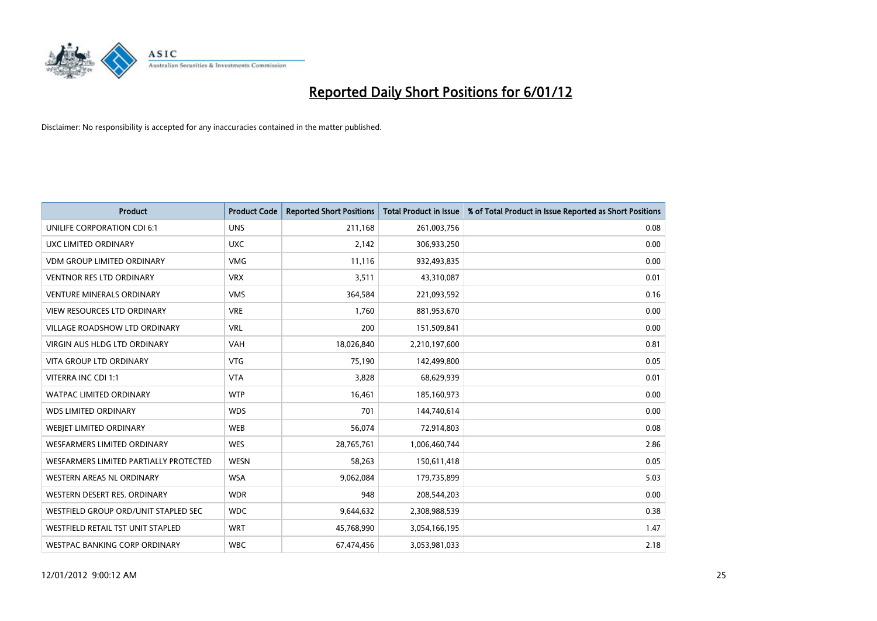

| <b>Product</b>                           | <b>Product Code</b> | <b>Reported Short Positions</b> | <b>Total Product in Issue</b> | % of Total Product in Issue Reported as Short Positions |
|------------------------------------------|---------------------|---------------------------------|-------------------------------|---------------------------------------------------------|
| UNILIFE CORPORATION CDI 6:1              | <b>UNS</b>          | 211,168                         | 261,003,756                   | 0.08                                                    |
| UXC LIMITED ORDINARY                     | <b>UXC</b>          | 2,142                           | 306,933,250                   | 0.00                                                    |
| <b>VDM GROUP LIMITED ORDINARY</b>        | <b>VMG</b>          | 11,116                          | 932,493,835                   | 0.00                                                    |
| <b>VENTNOR RES LTD ORDINARY</b>          | <b>VRX</b>          | 3,511                           | 43,310,087                    | 0.01                                                    |
| <b>VENTURE MINERALS ORDINARY</b>         | <b>VMS</b>          | 364,584                         | 221,093,592                   | 0.16                                                    |
| <b>VIEW RESOURCES LTD ORDINARY</b>       | <b>VRE</b>          | 1,760                           | 881,953,670                   | 0.00                                                    |
| <b>VILLAGE ROADSHOW LTD ORDINARY</b>     | <b>VRL</b>          | 200                             | 151,509,841                   | 0.00                                                    |
| <b>VIRGIN AUS HLDG LTD ORDINARY</b>      | <b>VAH</b>          | 18,026,840                      | 2,210,197,600                 | 0.81                                                    |
| <b>VITA GROUP LTD ORDINARY</b>           | <b>VTG</b>          | 75,190                          | 142,499,800                   | 0.05                                                    |
| VITERRA INC CDI 1:1                      | <b>VTA</b>          | 3,828                           | 68,629,939                    | 0.01                                                    |
| <b>WATPAC LIMITED ORDINARY</b>           | <b>WTP</b>          | 16,461                          | 185,160,973                   | 0.00                                                    |
| <b>WDS LIMITED ORDINARY</b>              | <b>WDS</b>          | 701                             | 144,740,614                   | 0.00                                                    |
| WEBIET LIMITED ORDINARY                  | <b>WEB</b>          | 56,074                          | 72,914,803                    | 0.08                                                    |
| <b>WESFARMERS LIMITED ORDINARY</b>       | <b>WES</b>          | 28,765,761                      | 1,006,460,744                 | 2.86                                                    |
| WESFARMERS LIMITED PARTIALLY PROTECTED   | <b>WESN</b>         | 58,263                          | 150,611,418                   | 0.05                                                    |
| <b>WESTERN AREAS NL ORDINARY</b>         | <b>WSA</b>          | 9,062,084                       | 179,735,899                   | 5.03                                                    |
| WESTERN DESERT RES. ORDINARY             | <b>WDR</b>          | 948                             | 208,544,203                   | 0.00                                                    |
| WESTFIELD GROUP ORD/UNIT STAPLED SEC     | <b>WDC</b>          | 9,644,632                       | 2,308,988,539                 | 0.38                                                    |
| <b>WESTFIELD RETAIL TST UNIT STAPLED</b> | <b>WRT</b>          | 45,768,990                      | 3,054,166,195                 | 1.47                                                    |
| WESTPAC BANKING CORP ORDINARY            | <b>WBC</b>          | 67,474,456                      | 3,053,981,033                 | 2.18                                                    |